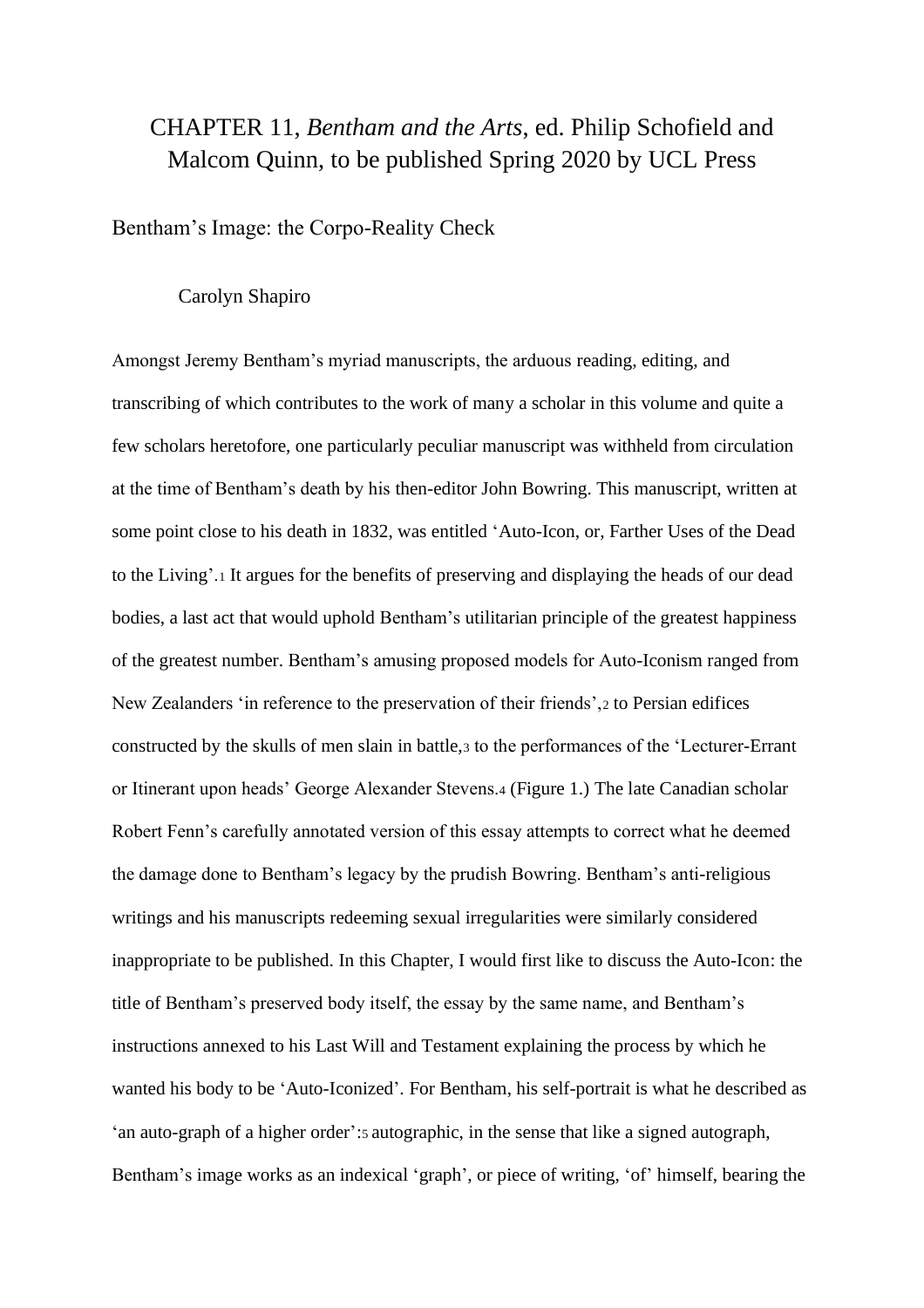# CHAPTER 11, *Bentham and the Arts*, ed. Philip Schofield and Malcom Quinn, to be published Spring 2020 by UCL Press

Bentham's Image: the Corpo-Reality Check

## Carolyn Shapiro

Amongst Jeremy Bentham's myriad manuscripts, the arduous reading, editing, and transcribing of which contributes to the work of many a scholar in this volume and quite a few scholars heretofore, one particularly peculiar manuscript was withheld from circulation at the time of Bentham's death by his then-editor John Bowring. This manuscript, written at some point close to his death in 1832, was entitled 'Auto-Icon, or, Farther Uses of the Dead to the Living'.<sup>1</sup> It argues for the benefits of preserving and displaying the heads of our dead bodies, a last act that would uphold Bentham's utilitarian principle of the greatest happiness of the greatest number. Bentham's amusing proposed models for Auto-Iconism ranged from New Zealanders 'in reference to the preservation of their friends',<sup>2</sup> to Persian edifices constructed by the skulls of men slain in battle,<sup>3</sup> to the performances of the 'Lecturer-Errant or Itinerant upon heads' George Alexander Stevens.<sup>4</sup> (Figure 1.) The late Canadian scholar Robert Fenn's carefully annotated version of this essay attempts to correct what he deemed the damage done to Bentham's legacy by the prudish Bowring. Bentham's anti-religious writings and his manuscripts redeeming sexual irregularities were similarly considered inappropriate to be published. In this Chapter, I would first like to discuss the Auto-Icon: the title of Bentham's preserved body itself, the essay by the same name, and Bentham's instructions annexed to his Last Will and Testament explaining the process by which he wanted his body to be 'Auto-Iconized'. For Bentham, his self-portrait is what he described as 'an auto-graph of a higher order':<sup>5</sup> autographic, in the sense that like a signed autograph, Bentham's image works as an indexical 'graph', or piece of writing, 'of' himself, bearing the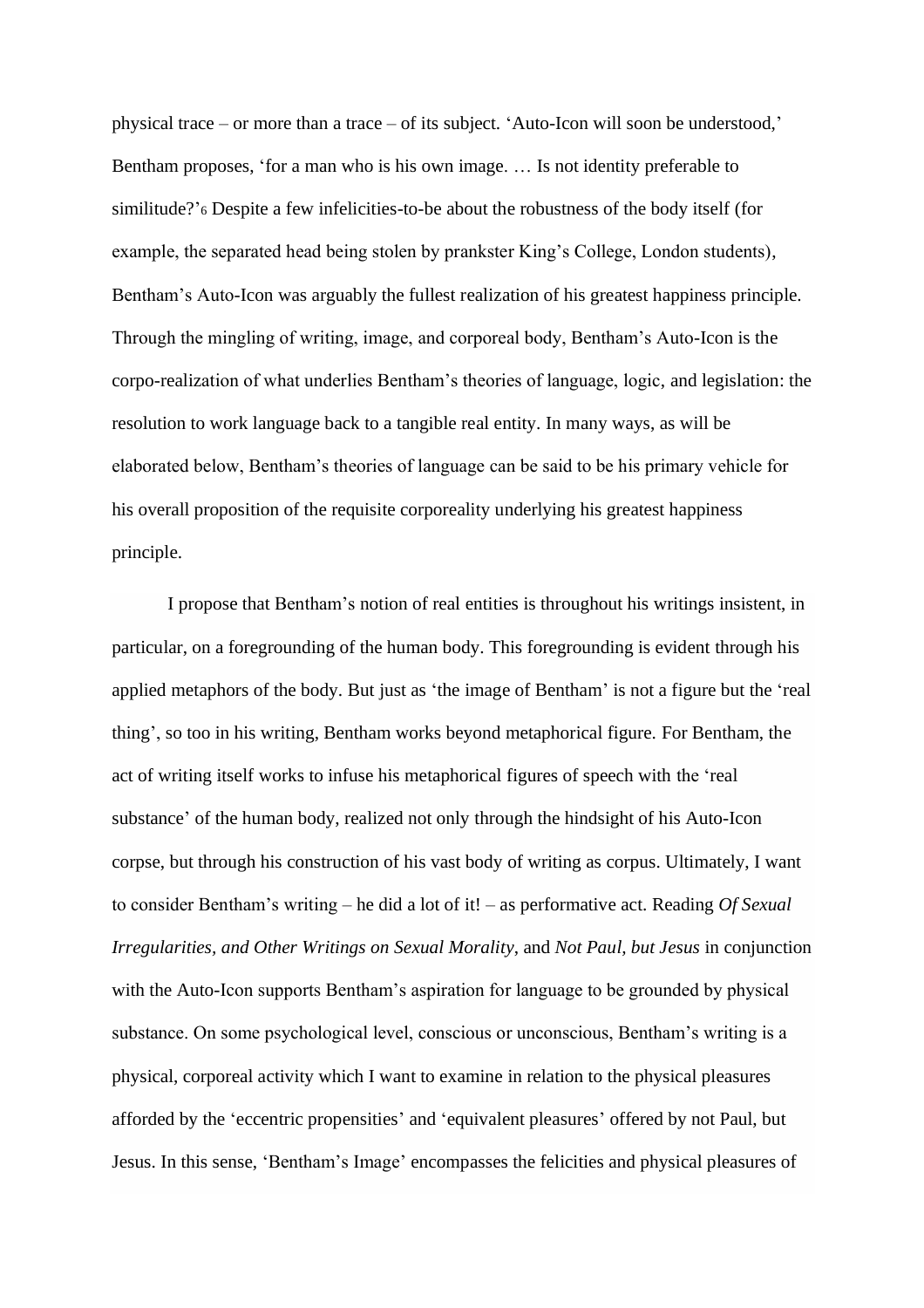physical trace – or more than a trace – of its subject. 'Auto-Icon will soon be understood,' Bentham proposes, 'for a man who is his own image. … Is not identity preferable to similitude?'<sup>6</sup> Despite a few infelicities-to-be about the robustness of the body itself (for example, the separated head being stolen by prankster King's College, London students), Bentham's Auto-Icon was arguably the fullest realization of his greatest happiness principle. Through the mingling of writing, image, and corporeal body, Bentham's Auto-Icon is the corpo-realization of what underlies Bentham's theories of language, logic, and legislation: the resolution to work language back to a tangible real entity. In many ways, as will be elaborated below, Bentham's theories of language can be said to be his primary vehicle for his overall proposition of the requisite corporeality underlying his greatest happiness principle.

I propose that Bentham's notion of real entities is throughout his writings insistent, in particular, on a foregrounding of the human body. This foregrounding is evident through his applied metaphors of the body. But just as 'the image of Bentham' is not a figure but the 'real thing', so too in his writing, Bentham works beyond metaphorical figure. For Bentham, the act of writing itself works to infuse his metaphorical figures of speech with the 'real substance' of the human body, realized not only through the hindsight of his Auto-Icon corpse, but through his construction of his vast body of writing as corpus. Ultimately, I want to consider Bentham's writing – he did a lot of it! – as performative act. Reading *Of Sexual Irregularities, and Other Writings on Sexual Morality*, and *Not Paul, but Jesus* in conjunction with the Auto-Icon supports Bentham's aspiration for language to be grounded by physical substance. On some psychological level, conscious or unconscious, Bentham's writing is a physical, corporeal activity which I want to examine in relation to the physical pleasures afforded by the 'eccentric propensities' and 'equivalent pleasures' offered by not Paul, but Jesus. In this sense, 'Bentham's Image' encompasses the felicities and physical pleasures of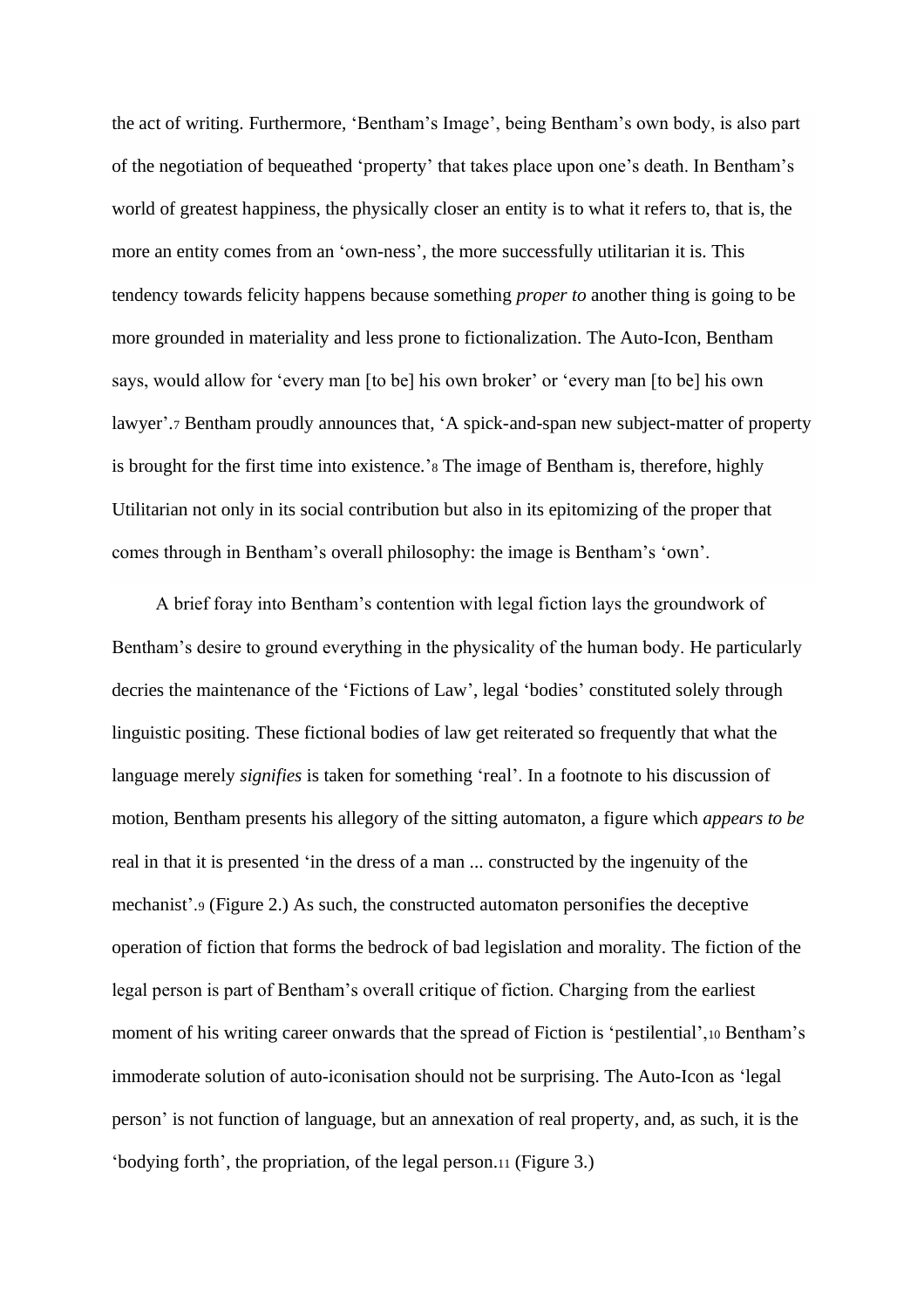the act of writing. Furthermore, 'Bentham's Image', being Bentham's own body, is also part of the negotiation of bequeathed 'property' that takes place upon one's death. In Bentham's world of greatest happiness, the physically closer an entity is to what it refers to, that is, the more an entity comes from an 'own-ness', the more successfully utilitarian it is. This tendency towards felicity happens because something *proper to* another thing is going to be more grounded in materiality and less prone to fictionalization. The Auto-Icon, Bentham says, would allow for 'every man [to be] his own broker' or 'every man [to be] his own lawyer'.<sup>7</sup> Bentham proudly announces that, 'A spick-and-span new subject-matter of property is brought for the first time into existence.'<sup>8</sup> The image of Bentham is, therefore, highly Utilitarian not only in its social contribution but also in its epitomizing of the proper that comes through in Bentham's overall philosophy: the image is Bentham's 'own'.

A brief foray into Bentham's contention with legal fiction lays the groundwork of Bentham's desire to ground everything in the physicality of the human body. He particularly decries the maintenance of the 'Fictions of Law', legal 'bodies' constituted solely through linguistic positing. These fictional bodies of law get reiterated so frequently that what the language merely *signifies* is taken for something 'real'. In a footnote to his discussion of motion, Bentham presents his allegory of the sitting automaton, a figure which *appears to be* real in that it is presented 'in the dress of a man ... constructed by the ingenuity of the mechanist'.<sup>9</sup> (Figure 2.) As such, the constructed automaton personifies the deceptive operation of fiction that forms the bedrock of bad legislation and morality. The fiction of the legal person is part of Bentham's overall critique of fiction. Charging from the earliest moment of his writing career onwards that the spread of Fiction is 'pestilential',<sup>10</sup> Bentham's immoderate solution of auto-iconisation should not be surprising. The Auto-Icon as 'legal person' is not function of language, but an annexation of real property, and, as such, it is the 'bodying forth', the propriation, of the legal person.<sup>11</sup> (Figure 3.)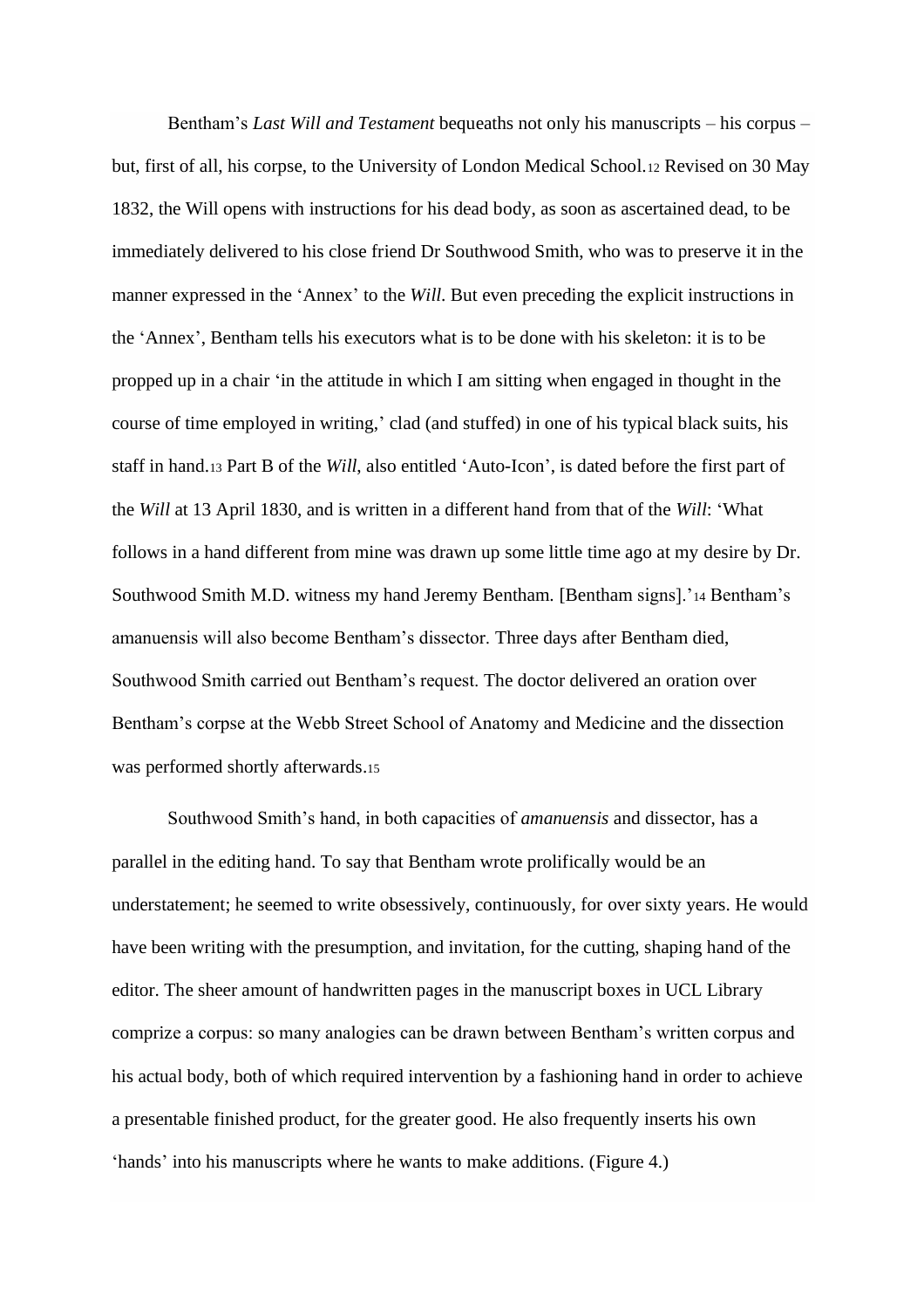Bentham's *Last Will and Testament* bequeaths not only his manuscripts – his corpus – but, first of all, his corpse, to the University of London Medical School.<sup>12</sup> Revised on 30 May 1832, the Will opens with instructions for his dead body, as soon as ascertained dead, to be immediately delivered to his close friend Dr Southwood Smith, who was to preserve it in the manner expressed in the 'Annex' to the *Will*. But even preceding the explicit instructions in the 'Annex', Bentham tells his executors what is to be done with his skeleton: it is to be propped up in a chair 'in the attitude in which I am sitting when engaged in thought in the course of time employed in writing,' clad (and stuffed) in one of his typical black suits, his staff in hand.<sup>13</sup> Part B of the *Will*, also entitled 'Auto-Icon', is dated before the first part of the *Will* at 13 April 1830, and is written in a different hand from that of the *Will*: 'What follows in a hand different from mine was drawn up some little time ago at my desire by Dr. Southwood Smith M.D. witness my hand Jeremy Bentham. [Bentham signs].'<sup>14</sup> Bentham's amanuensis will also become Bentham's dissector. Three days after Bentham died, Southwood Smith carried out Bentham's request. The doctor delivered an oration over Bentham's corpse at the Webb Street School of Anatomy and Medicine and the dissection was performed shortly afterwards.<sup>15</sup>

Southwood Smith's hand, in both capacities of *amanuensis* and dissector, has a parallel in the editing hand. To say that Bentham wrote prolifically would be an understatement; he seemed to write obsessively, continuously, for over sixty years. He would have been writing with the presumption, and invitation, for the cutting, shaping hand of the editor. The sheer amount of handwritten pages in the manuscript boxes in UCL Library comprize a corpus: so many analogies can be drawn between Bentham's written corpus and his actual body, both of which required intervention by a fashioning hand in order to achieve a presentable finished product, for the greater good. He also frequently inserts his own 'hands' into his manuscripts where he wants to make additions. (Figure 4.)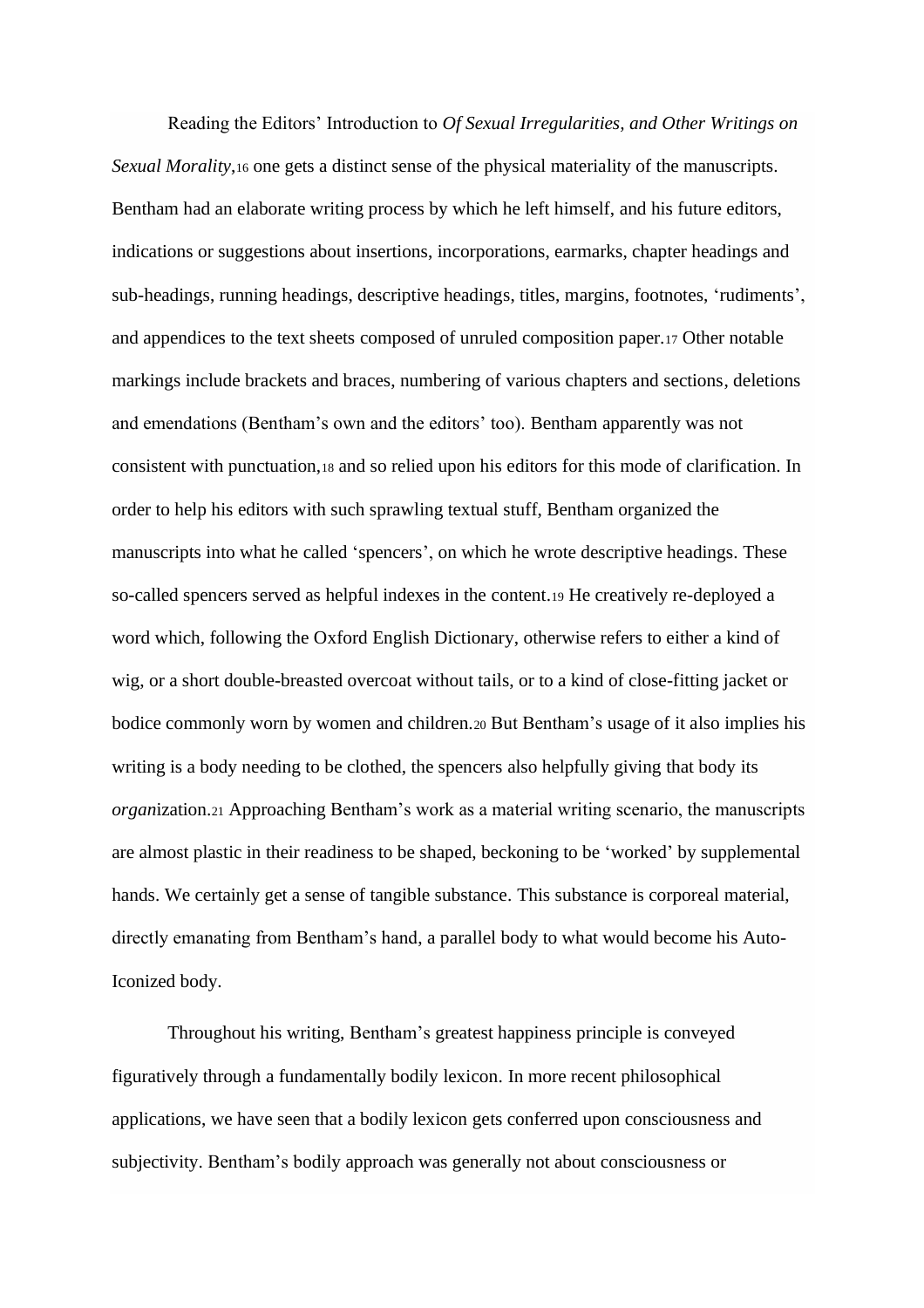Reading the Editors' Introduction to *Of Sexual Irregularities, and Other Writings on Sexual Morality*,<sup>16</sup> one gets a distinct sense of the physical materiality of the manuscripts. Bentham had an elaborate writing process by which he left himself, and his future editors, indications or suggestions about insertions, incorporations, earmarks, chapter headings and sub-headings, running headings, descriptive headings, titles, margins, footnotes, 'rudiments', and appendices to the text sheets composed of unruled composition paper.<sup>17</sup> Other notable markings include brackets and braces, numbering of various chapters and sections, deletions and emendations (Bentham's own and the editors' too). Bentham apparently was not consistent with punctuation,<sup>18</sup> and so relied upon his editors for this mode of clarification. In order to help his editors with such sprawling textual stuff, Bentham organized the manuscripts into what he called 'spencers', on which he wrote descriptive headings. These so-called spencers served as helpful indexes in the content.<sup>19</sup> He creatively re-deployed a word which, following the Oxford English Dictionary, otherwise refers to either a kind of wig, or a short double-breasted overcoat without tails, or to a kind of close-fitting jacket or bodice commonly worn by women and children.<sup>20</sup> But Bentham's usage of it also implies his writing is a body needing to be clothed, the spencers also helpfully giving that body its *organ*ization.<sup>21</sup> Approaching Bentham's work as a material writing scenario, the manuscripts are almost plastic in their readiness to be shaped, beckoning to be 'worked' by supplemental hands. We certainly get a sense of tangible substance. This substance is corporeal material, directly emanating from Bentham's hand, a parallel body to what would become his Auto-Iconized body.

Throughout his writing, Bentham's greatest happiness principle is conveyed figuratively through a fundamentally bodily lexicon. In more recent philosophical applications, we have seen that a bodily lexicon gets conferred upon consciousness and subjectivity. Bentham's bodily approach was generally not about consciousness or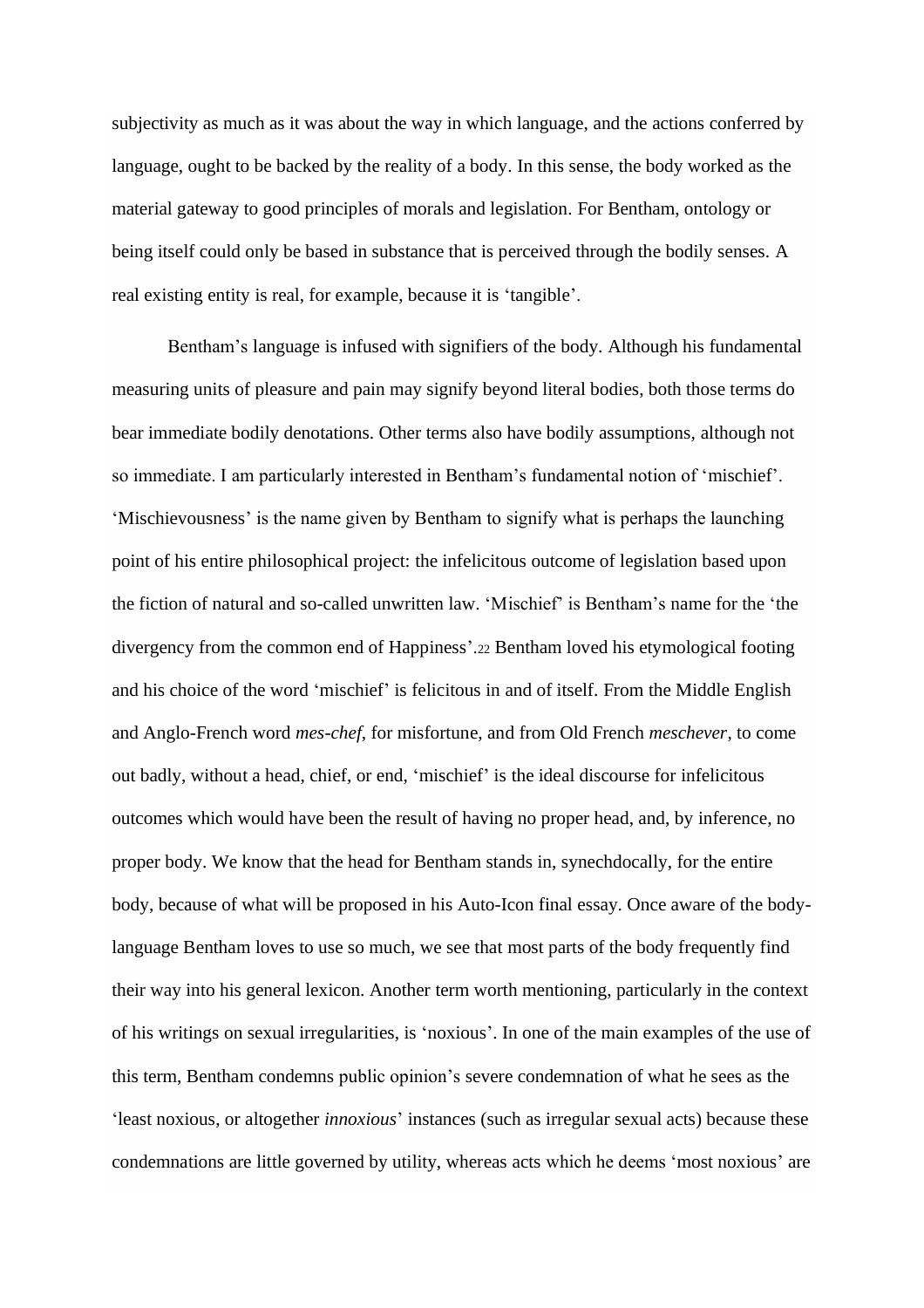subjectivity as much as it was about the way in which language, and the actions conferred by language, ought to be backed by the reality of a body. In this sense, the body worked as the material gateway to good principles of morals and legislation. For Bentham, ontology or being itself could only be based in substance that is perceived through the bodily senses. A real existing entity is real, for example, because it is 'tangible'.

Bentham's language is infused with signifiers of the body. Although his fundamental measuring units of pleasure and pain may signify beyond literal bodies, both those terms do bear immediate bodily denotations. Other terms also have bodily assumptions, although not so immediate. I am particularly interested in Bentham's fundamental notion of 'mischief'. 'Mischievousness' is the name given by Bentham to signify what is perhaps the launching point of his entire philosophical project: the infelicitous outcome of legislation based upon the fiction of natural and so-called unwritten law. 'Mischief' is Bentham's name for the 'the divergency from the common end of Happiness'.<sup>22</sup> Bentham loved his etymological footing and his choice of the word 'mischief' is felicitous in and of itself. From the Middle English and Anglo-French word *mes-chef*, for misfortune, and from Old French *meschever*, to come out badly, without a head, chief, or end, 'mischief' is the ideal discourse for infelicitous outcomes which would have been the result of having no proper head, and, by inference, no proper body. We know that the head for Bentham stands in, synechdocally, for the entire body, because of what will be proposed in his Auto-Icon final essay. Once aware of the bodylanguage Bentham loves to use so much, we see that most parts of the body frequently find their way into his general lexicon. Another term worth mentioning, particularly in the context of his writings on sexual irregularities, is 'noxious'. In one of the main examples of the use of this term, Bentham condemns public opinion's severe condemnation of what he sees as the 'least noxious, or altogether *innoxious*' instances (such as irregular sexual acts) because these condemnations are little governed by utility, whereas acts which he deems 'most noxious' are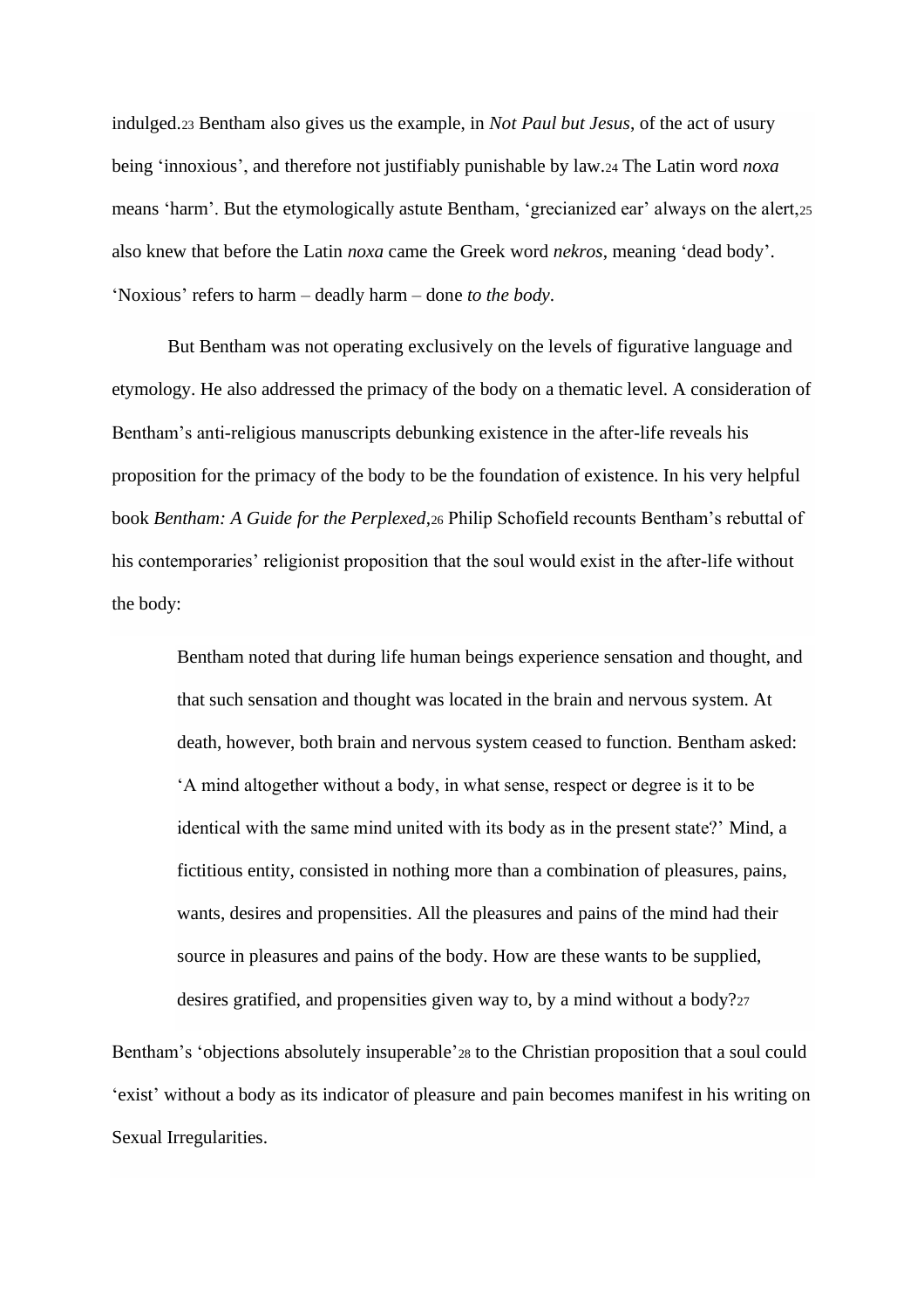indulged.<sup>23</sup> Bentham also gives us the example, in *Not Paul but Jesus*, of the act of usury being 'innoxious', and therefore not justifiably punishable by law.<sup>24</sup> The Latin word *noxa* means 'harm'. But the etymologically astute Bentham, 'grecianized ear' always on the alert,<sup>25</sup> also knew that before the Latin *noxa* came the Greek word *nekros*, meaning 'dead body'. 'Noxious' refers to harm – deadly harm – done *to the body*.

But Bentham was not operating exclusively on the levels of figurative language and etymology. He also addressed the primacy of the body on a thematic level. A consideration of Bentham's anti-religious manuscripts debunking existence in the after-life reveals his proposition for the primacy of the body to be the foundation of existence. In his very helpful book *Bentham: A Guide for the Perplexed*,<sup>26</sup> Philip Schofield recounts Bentham's rebuttal of his contemporaries' religionist proposition that the soul would exist in the after-life without the body:

Bentham noted that during life human beings experience sensation and thought, and that such sensation and thought was located in the brain and nervous system. At death, however, both brain and nervous system ceased to function. Bentham asked: 'A mind altogether without a body, in what sense, respect or degree is it to be identical with the same mind united with its body as in the present state?' Mind, a fictitious entity, consisted in nothing more than a combination of pleasures, pains, wants, desires and propensities. All the pleasures and pains of the mind had their source in pleasures and pains of the body. How are these wants to be supplied, desires gratified, and propensities given way to, by a mind without a body?<sup>27</sup>

Bentham's 'objections absolutely insuperable' 28 to the Christian proposition that a soul could 'exist' without a body as its indicator of pleasure and pain becomes manifest in his writing on Sexual Irregularities.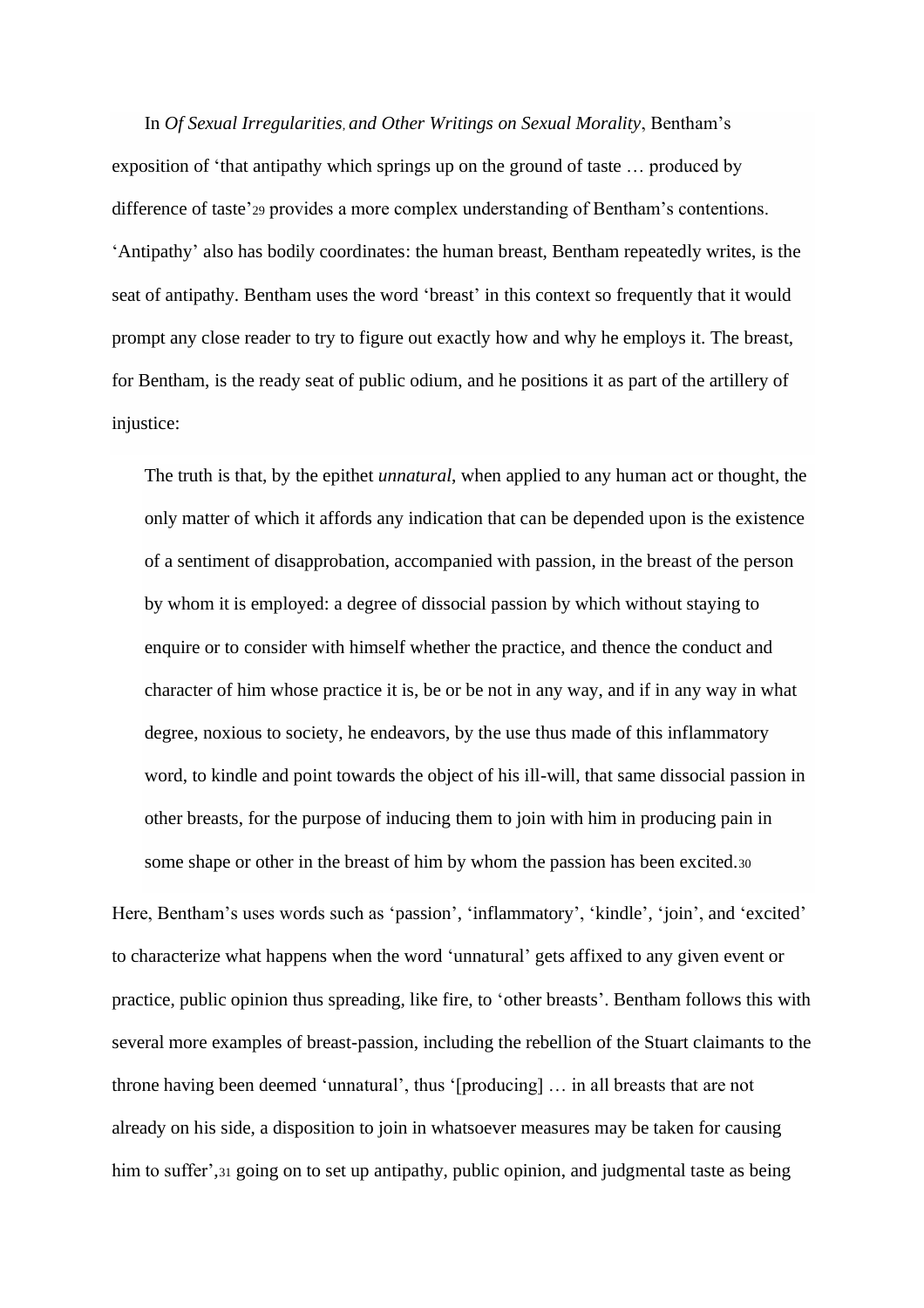In *Of Sexual Irregularities, and Other Writings on Sexual Morality*, Bentham's exposition of 'that antipathy which springs up on the ground of taste … produced by difference of taste'<sup>29</sup> provides a more complex understanding of Bentham's contentions. 'Antipathy' also has bodily coordinates: the human breast, Bentham repeatedly writes, is the seat of antipathy. Bentham uses the word 'breast' in this context so frequently that it would prompt any close reader to try to figure out exactly how and why he employs it. The breast, for Bentham, is the ready seat of public odium, and he positions it as part of the artillery of injustice:

The truth is that, by the epithet *unnatural*, when applied to any human act or thought, the only matter of which it affords any indication that can be depended upon is the existence of a sentiment of disapprobation, accompanied with passion, in the breast of the person by whom it is employed: a degree of dissocial passion by which without staying to enquire or to consider with himself whether the practice, and thence the conduct and character of him whose practice it is, be or be not in any way, and if in any way in what degree, noxious to society, he endeavors, by the use thus made of this inflammatory word, to kindle and point towards the object of his ill-will, that same dissocial passion in other breasts, for the purpose of inducing them to join with him in producing pain in some shape or other in the breast of him by whom the passion has been excited.<sup>30</sup>

Here, Bentham's uses words such as 'passion', 'inflammatory', 'kindle', 'join', and 'excited' to characterize what happens when the word 'unnatural' gets affixed to any given event or practice, public opinion thus spreading, like fire, to 'other breasts'. Bentham follows this with several more examples of breast-passion, including the rebellion of the Stuart claimants to the throne having been deemed 'unnatural', thus '[producing] … in all breasts that are not already on his side, a disposition to join in whatsoever measures may be taken for causing him to suffer', 31 going on to set up antipathy, public opinion, and judgmental taste as being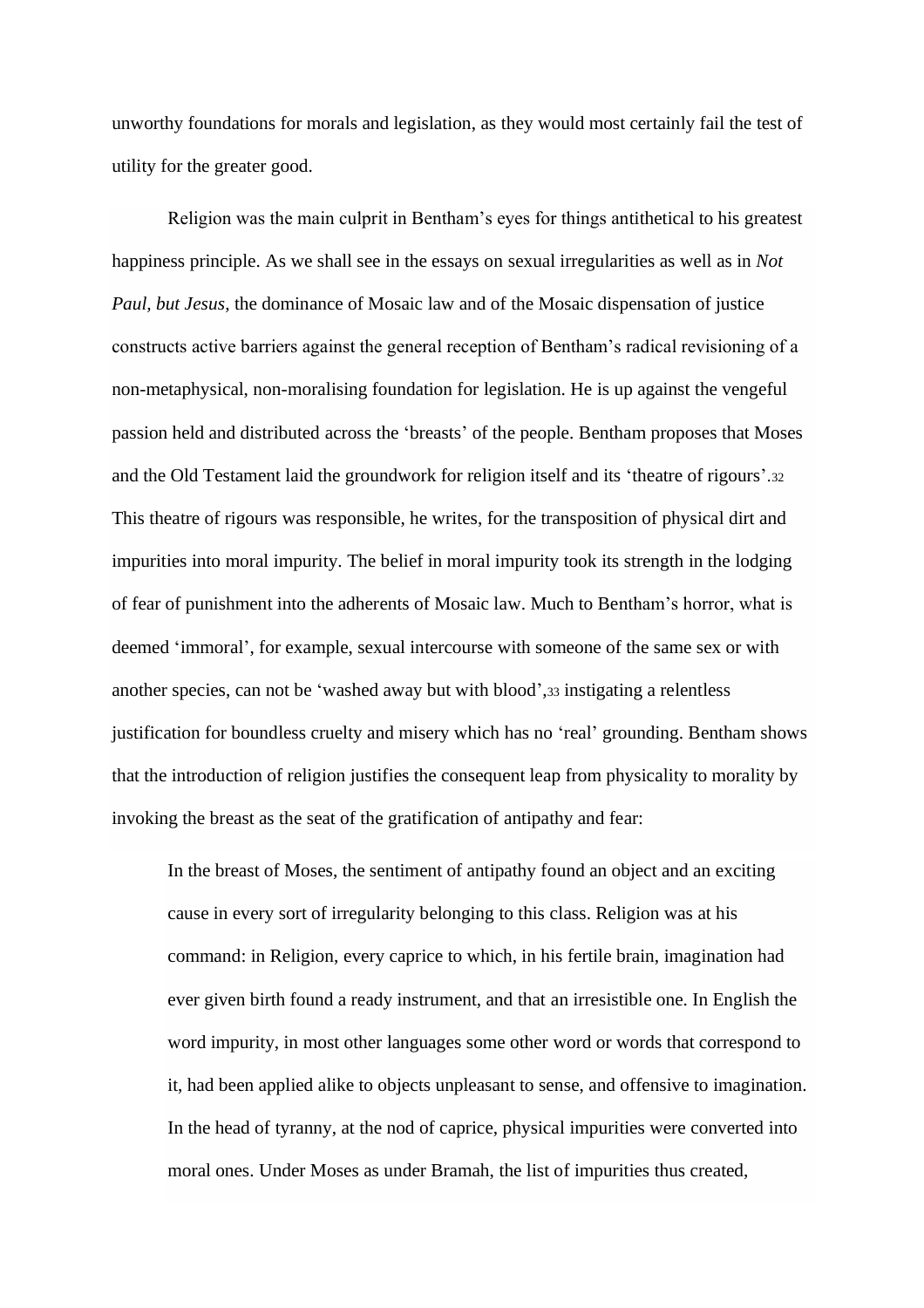unworthy foundations for morals and legislation, as they would most certainly fail the test of utility for the greater good.

Religion was the main culprit in Bentham's eyes for things antithetical to his greatest happiness principle. As we shall see in the essays on sexual irregularities as well as in *Not Paul, but Jesus*, the dominance of Mosaic law and of the Mosaic dispensation of justice constructs active barriers against the general reception of Bentham's radical revisioning of a non-metaphysical, non-moralising foundation for legislation. He is up against the vengeful passion held and distributed across the 'breasts' of the people. Bentham proposes that Moses and the Old Testament laid the groundwork for religion itself and its 'theatre of rigours'.<sup>32</sup> This theatre of rigours was responsible, he writes, for the transposition of physical dirt and impurities into moral impurity. The belief in moral impurity took its strength in the lodging of fear of punishment into the adherents of Mosaic law. Much to Bentham's horror, what is deemed 'immoral', for example, sexual intercourse with someone of the same sex or with another species, can not be 'washed away but with blood',<sup>33</sup> instigating a relentless justification for boundless cruelty and misery which has no 'real' grounding. Bentham shows that the introduction of religion justifies the consequent leap from physicality to morality by invoking the breast as the seat of the gratification of antipathy and fear:

In the breast of Moses, the sentiment of antipathy found an object and an exciting cause in every sort of irregularity belonging to this class. Religion was at his command: in Religion, every caprice to which, in his fertile brain, imagination had ever given birth found a ready instrument, and that an irresistible one. In English the word impurity, in most other languages some other word or words that correspond to it, had been applied alike to objects unpleasant to sense, and offensive to imagination. In the head of tyranny, at the nod of caprice, physical impurities were converted into moral ones. Under Moses as under Bramah, the list of impurities thus created,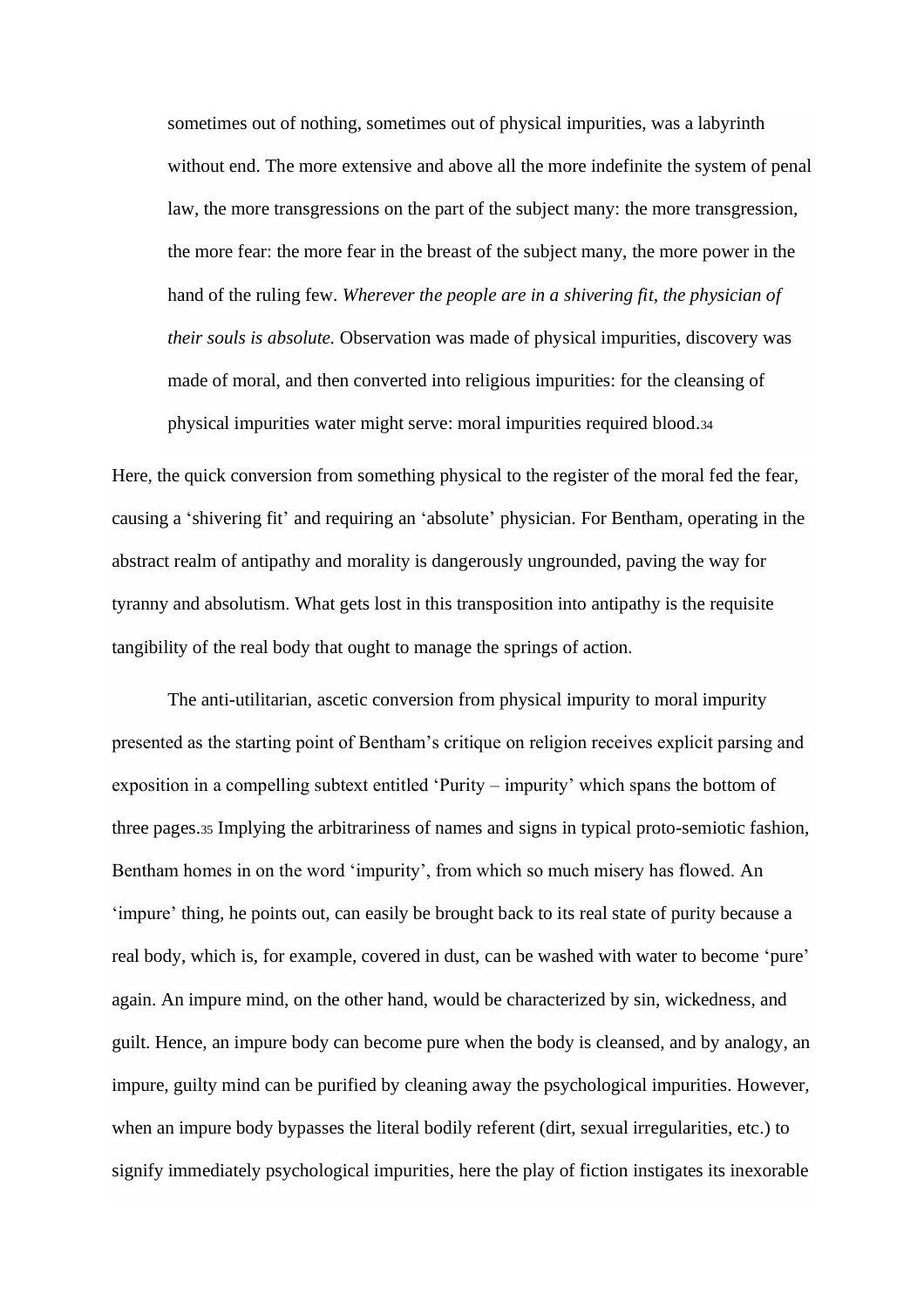sometimes out of nothing, sometimes out of physical impurities, was a labyrinth without end. The more extensive and above all the more indefinite the system of penal law, the more transgressions on the part of the subject many: the more transgression, the more fear: the more fear in the breast of the subject many, the more power in the hand of the ruling few. *Wherever the people are in a shivering fit, the physician of their souls is absolute.* Observation was made of physical impurities, discovery was made of moral, and then converted into religious impurities: for the cleansing of physical impurities water might serve: moral impurities required blood.<sup>34</sup>

Here, the quick conversion from something physical to the register of the moral fed the fear, causing a 'shivering fit' and requiring an 'absolute' physician. For Bentham, operating in the abstract realm of antipathy and morality is dangerously ungrounded, paving the way for tyranny and absolutism. What gets lost in this transposition into antipathy is the requisite tangibility of the real body that ought to manage the springs of action.

The anti-utilitarian, ascetic conversion from physical impurity to moral impurity presented as the starting point of Bentham's critique on religion receives explicit parsing and exposition in a compelling subtext entitled 'Purity – impurity' which spans the bottom of three pages.<sup>35</sup> Implying the arbitrariness of names and signs in typical proto-semiotic fashion, Bentham homes in on the word 'impurity', from which so much misery has flowed. An 'impure' thing, he points out, can easily be brought back to its real state of purity because a real body, which is, for example, covered in dust, can be washed with water to become 'pure' again. An impure mind, on the other hand, would be characterized by sin, wickedness, and guilt. Hence, an impure body can become pure when the body is cleansed, and by analogy, an impure, guilty mind can be purified by cleaning away the psychological impurities. However, when an impure body bypasses the literal bodily referent (dirt, sexual irregularities, etc.) to signify immediately psychological impurities, here the play of fiction instigates its inexorable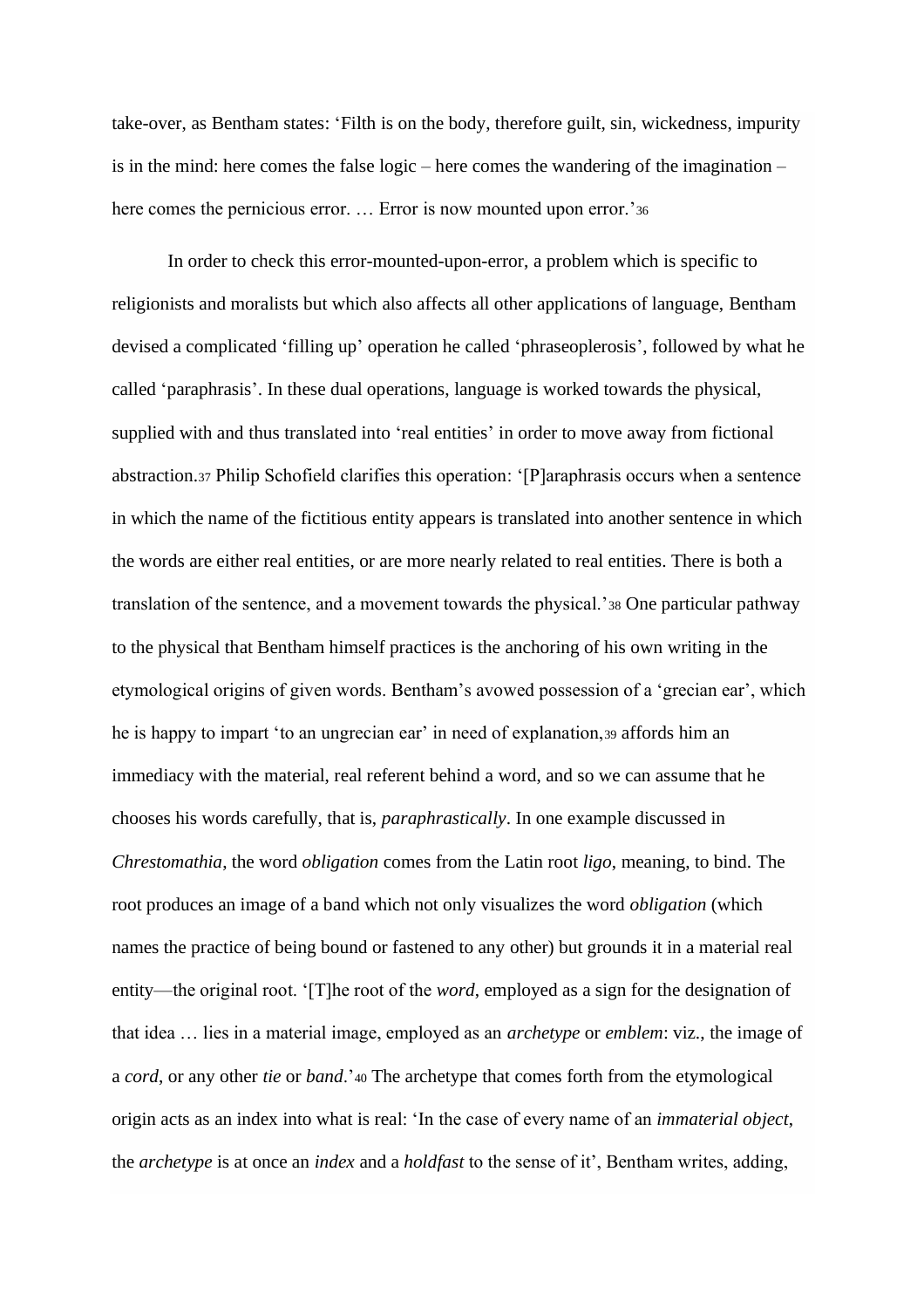take-over, as Bentham states: 'Filth is on the body, therefore guilt, sin, wickedness, impurity is in the mind: here comes the false logic – here comes the wandering of the imagination – here comes the pernicious error. ... Error is now mounted upon error.'36

In order to check this error-mounted-upon-error, a problem which is specific to religionists and moralists but which also affects all other applications of language, Bentham devised a complicated 'filling up' operation he called 'phraseoplerosis', followed by what he called 'paraphrasis'. In these dual operations, language is worked towards the physical, supplied with and thus translated into 'real entities' in order to move away from fictional abstraction.<sup>37</sup> Philip Schofield clarifies this operation: '[P]araphrasis occurs when a sentence in which the name of the fictitious entity appears is translated into another sentence in which the words are either real entities, or are more nearly related to real entities. There is both a translation of the sentence, and a movement towards the physical.'<sup>38</sup> One particular pathway to the physical that Bentham himself practices is the anchoring of his own writing in the etymological origins of given words. Bentham's avowed possession of a 'grecian ear', which he is happy to impart 'to an ungrecian ear' in need of explanation,<sup>39</sup> affords him an immediacy with the material, real referent behind a word, and so we can assume that he chooses his words carefully, that is, *paraphrastically*. In one example discussed in *Chrestomathia*, the word *obligation* comes from the Latin root *ligo*, meaning, to bind. The root produces an image of a band which not only visualizes the word *obligation* (which names the practice of being bound or fastened to any other) but grounds it in a material real entity—the original root. '[T]he root of the *word*, employed as a sign for the designation of that idea … lies in a material image, employed as an *archetype* or *emblem*: viz., the image of a *cord*, or any other *tie* or *band*.'<sup>40</sup> The archetype that comes forth from the etymological origin acts as an index into what is real: 'In the case of every name of an *immaterial object*, the *archetype* is at once an *index* and a *holdfast* to the sense of it', Bentham writes, adding,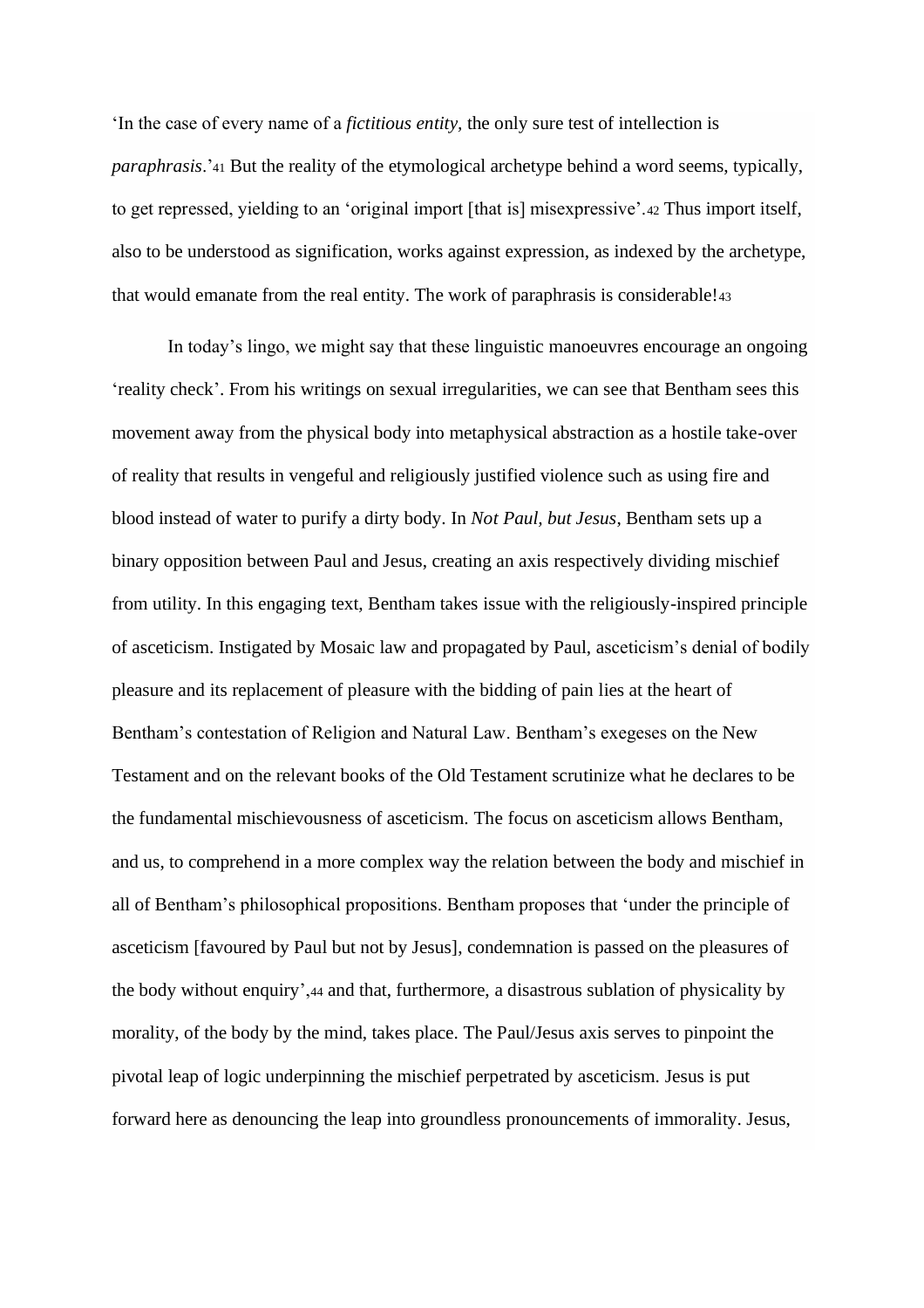'In the case of every name of a *fictitious entity,* the only sure test of intellection is *paraphrasis*.'<sup>41</sup> But the reality of the etymological archetype behind a word seems, typically, to get repressed, yielding to an 'original import [that is] misexpressive'.<sup>42</sup> Thus import itself, also to be understood as signification, works against expression, as indexed by the archetype, that would emanate from the real entity. The work of paraphrasis is considerable!<sup>43</sup>

In today's lingo, we might say that these linguistic manoeuvres encourage an ongoing 'reality check'. From his writings on sexual irregularities, we can see that Bentham sees this movement away from the physical body into metaphysical abstraction as a hostile take-over of reality that results in vengeful and religiously justified violence such as using fire and blood instead of water to purify a dirty body. In *Not Paul, but Jesus*, Bentham sets up a binary opposition between Paul and Jesus, creating an axis respectively dividing mischief from utility. In this engaging text, Bentham takes issue with the religiously-inspired principle of asceticism. Instigated by Mosaic law and propagated by Paul, asceticism's denial of bodily pleasure and its replacement of pleasure with the bidding of pain lies at the heart of Bentham's contestation of Religion and Natural Law. Bentham's exegeses on the New Testament and on the relevant books of the Old Testament scrutinize what he declares to be the fundamental mischievousness of asceticism. The focus on asceticism allows Bentham, and us, to comprehend in a more complex way the relation between the body and mischief in all of Bentham's philosophical propositions. Bentham proposes that 'under the principle of asceticism [favoured by Paul but not by Jesus], condemnation is passed on the pleasures of the body without enquiry',<sup>44</sup> and that, furthermore, a disastrous sublation of physicality by morality, of the body by the mind, takes place. The Paul/Jesus axis serves to pinpoint the pivotal leap of logic underpinning the mischief perpetrated by asceticism. Jesus is put forward here as denouncing the leap into groundless pronouncements of immorality. Jesus,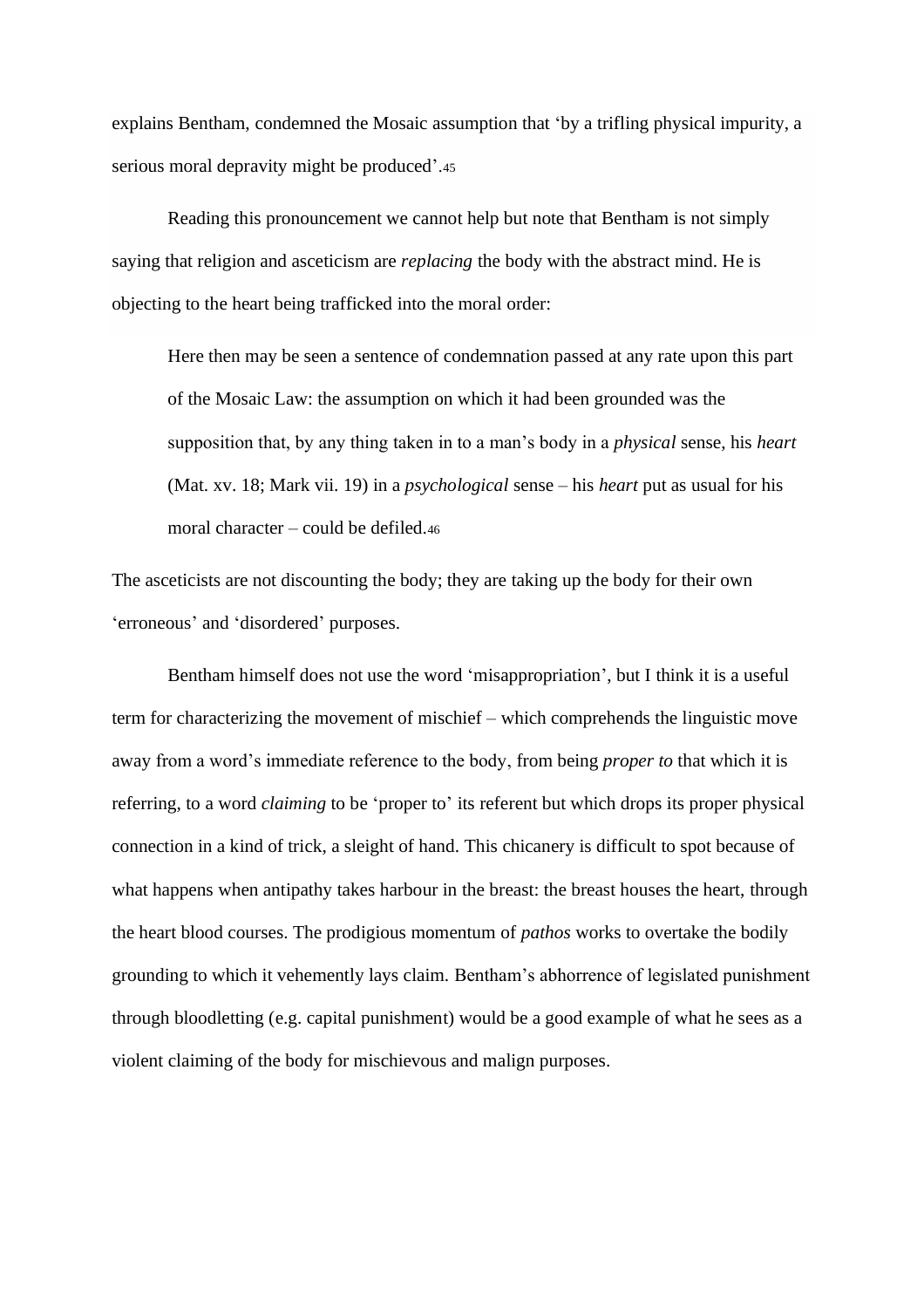explains Bentham, condemned the Mosaic assumption that 'by a trifling physical impurity, a serious moral depravity might be produced'.<sup>45</sup>

Reading this pronouncement we cannot help but note that Bentham is not simply saying that religion and asceticism are *replacing* the body with the abstract mind. He is objecting to the heart being trafficked into the moral order:

Here then may be seen a sentence of condemnation passed at any rate upon this part of the Mosaic Law: the assumption on which it had been grounded was the supposition that, by any thing taken in to a man's body in a *physical* sense, his *heart* (Mat. xv. 18; Mark vii. 19) in a *psychological* sense – his *heart* put as usual for his moral character – could be defiled.<sup>46</sup>

The asceticists are not discounting the body; they are taking up the body for their own 'erroneous' and 'disordered' purposes.

Bentham himself does not use the word 'misappropriation', but I think it is a useful term for characterizing the movement of mischief – which comprehends the linguistic move away from a word's immediate reference to the body, from being *proper to* that which it is referring, to a word *claiming* to be 'proper to' its referent but which drops its proper physical connection in a kind of trick, a sleight of hand. This chicanery is difficult to spot because of what happens when antipathy takes harbour in the breast: the breast houses the heart, through the heart blood courses. The prodigious momentum of *pathos* works to overtake the bodily grounding to which it vehemently lays claim. Bentham's abhorrence of legislated punishment through bloodletting (e.g. capital punishment) would be a good example of what he sees as a violent claiming of the body for mischievous and malign purposes.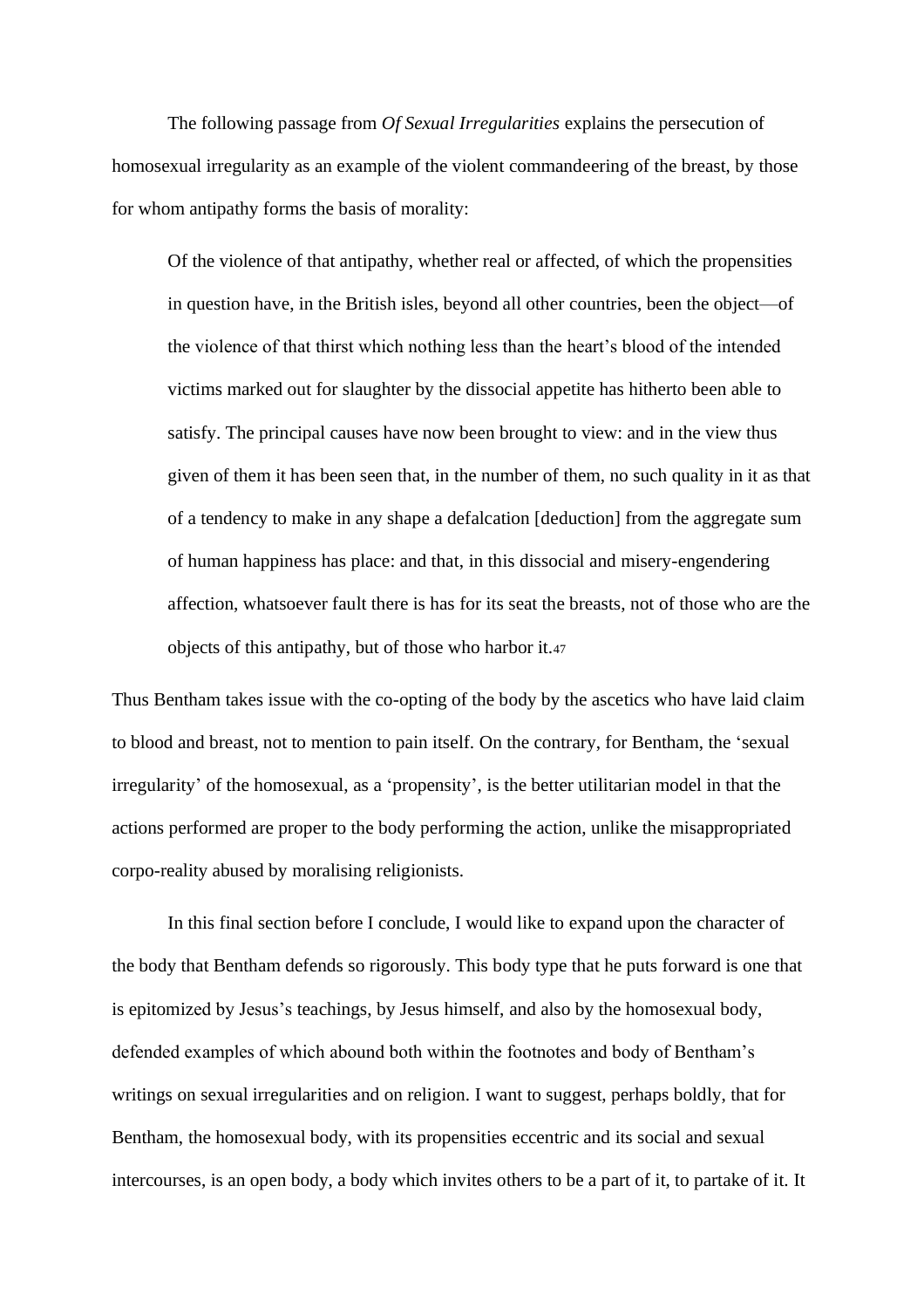The following passage from *Of Sexual Irregularities* explains the persecution of homosexual irregularity as an example of the violent commandeering of the breast, by those for whom antipathy forms the basis of morality:

Of the violence of that antipathy, whether real or affected, of which the propensities in question have, in the British isles, beyond all other countries, been the object—of the violence of that thirst which nothing less than the heart's blood of the intended victims marked out for slaughter by the dissocial appetite has hitherto been able to satisfy. The principal causes have now been brought to view: and in the view thus given of them it has been seen that, in the number of them, no such quality in it as that of a tendency to make in any shape a defalcation [deduction] from the aggregate sum of human happiness has place: and that, in this dissocial and misery-engendering affection, whatsoever fault there is has for its seat the breasts, not of those who are the objects of this antipathy, but of those who harbor it.<sup>47</sup>

Thus Bentham takes issue with the co-opting of the body by the ascetics who have laid claim to blood and breast, not to mention to pain itself. On the contrary, for Bentham, the 'sexual irregularity' of the homosexual, as a 'propensity', is the better utilitarian model in that the actions performed are proper to the body performing the action, unlike the misappropriated corpo-reality abused by moralising religionists.

In this final section before I conclude, I would like to expand upon the character of the body that Bentham defends so rigorously. This body type that he puts forward is one that is epitomized by Jesus's teachings, by Jesus himself, and also by the homosexual body, defended examples of which abound both within the footnotes and body of Bentham's writings on sexual irregularities and on religion. I want to suggest, perhaps boldly, that for Bentham, the homosexual body, with its propensities eccentric and its social and sexual intercourses, is an open body, a body which invites others to be a part of it, to partake of it. It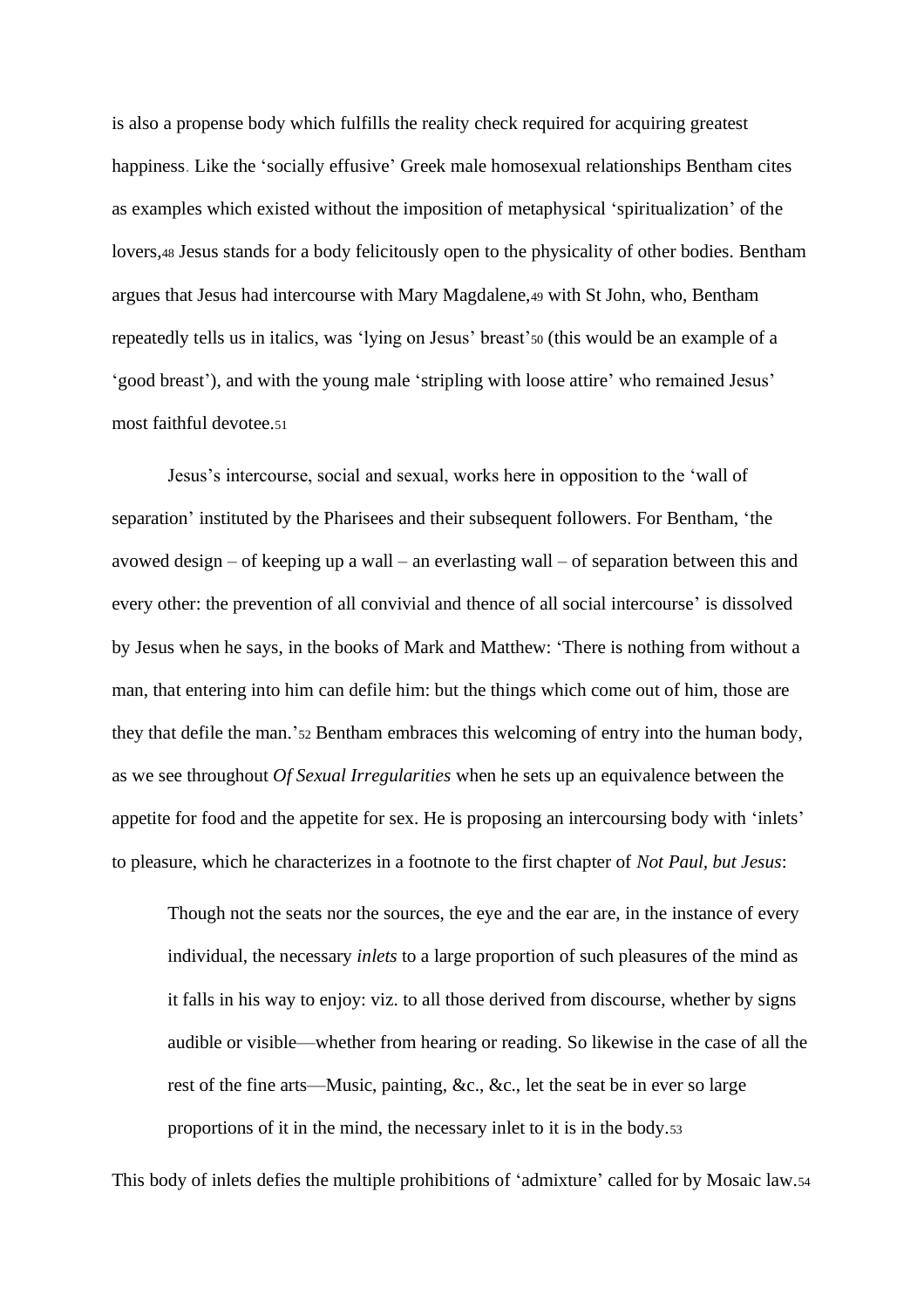is also a propense body which fulfills the reality check required for acquiring greatest happiness. Like the 'socially effusive' Greek male homosexual relationships Bentham cites as examples which existed without the imposition of metaphysical 'spiritualization' of the lovers,<sup>48</sup> Jesus stands for a body felicitously open to the physicality of other bodies. Bentham argues that Jesus had intercourse with Mary Magdalene,<sup>49</sup> with St John, who, Bentham repeatedly tells us in italics, was 'lying on Jesus' breast'<sup>50</sup> (this would be an example of a 'good breast'), and with the young male 'stripling with loose attire' who remained Jesus' most faithful devotee.<sup>51</sup>

Jesus's intercourse, social and sexual, works here in opposition to the 'wall of separation' instituted by the Pharisees and their subsequent followers. For Bentham, 'the avowed design – of keeping up a wall – an everlasting wall – of separation between this and every other: the prevention of all convivial and thence of all social intercourse' is dissolved by Jesus when he says, in the books of Mark and Matthew: 'There is nothing from without a man, that entering into him can defile him: but the things which come out of him, those are they that defile the man.'<sup>52</sup> Bentham embraces this welcoming of entry into the human body, as we see throughout *Of Sexual Irregularities* when he sets up an equivalence between the appetite for food and the appetite for sex. He is proposing an intercoursing body with 'inlets' to pleasure, which he characterizes in a footnote to the first chapter of *Not Paul, but Jesus*:

Though not the seats nor the sources, the eye and the ear are, in the instance of every individual, the necessary *inlets* to a large proportion of such pleasures of the mind as it falls in his way to enjoy: viz. to all those derived from discourse, whether by signs audible or visible—whether from hearing or reading. So likewise in the case of all the rest of the fine arts—Music, painting, &c., &c., let the seat be in ever so large proportions of it in the mind, the necessary inlet to it is in the body.<sup>53</sup>

This body of inlets defies the multiple prohibitions of 'admixture' called for by Mosaic law.<sup>54</sup>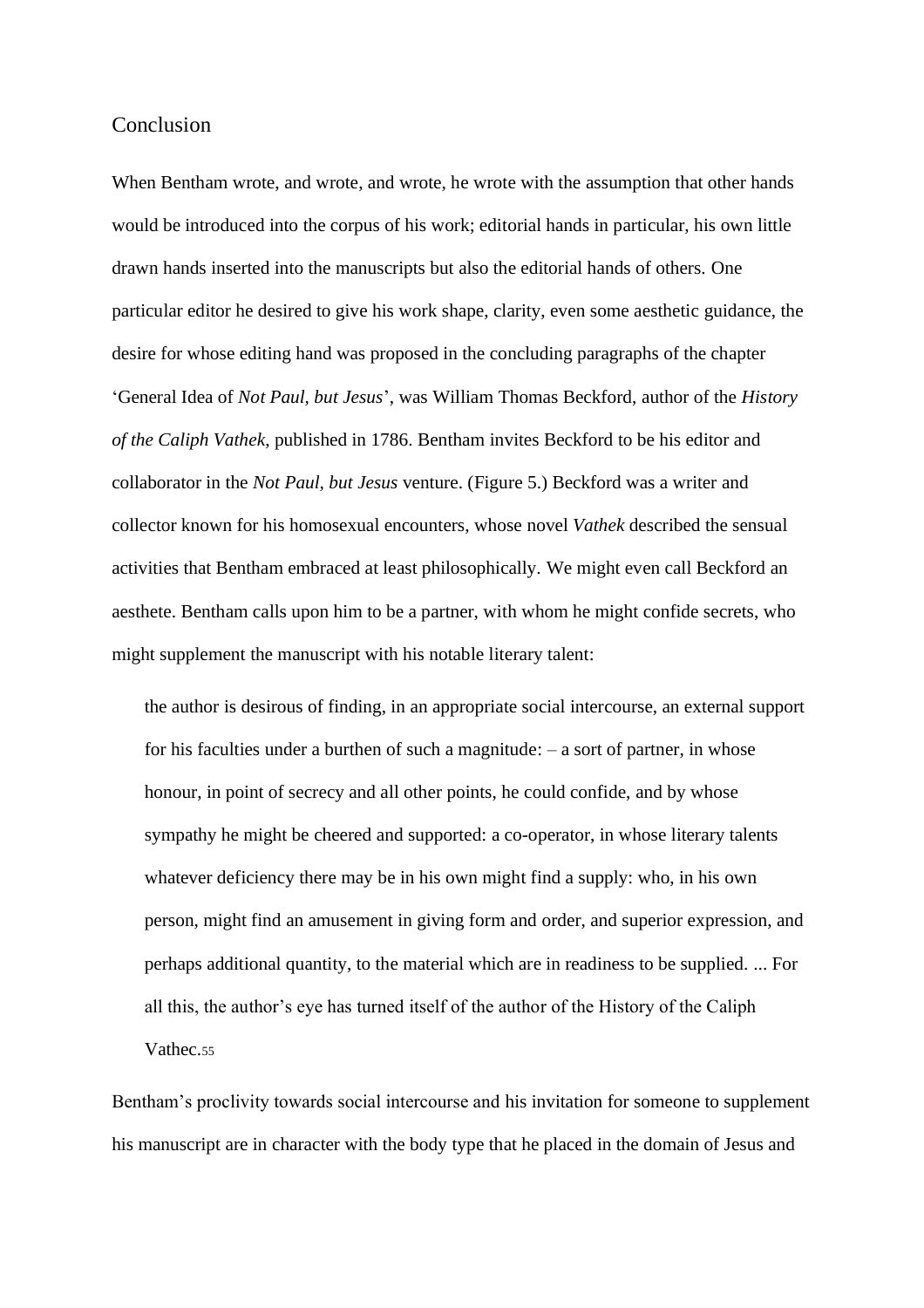#### Conclusion

When Bentham wrote, and wrote, and wrote, he wrote with the assumption that other hands would be introduced into the corpus of his work; editorial hands in particular, his own little drawn hands inserted into the manuscripts but also the editorial hands of others. One particular editor he desired to give his work shape, clarity, even some aesthetic guidance, the desire for whose editing hand was proposed in the concluding paragraphs of the chapter 'General Idea of *Not Paul, but Jesus*', was William Thomas Beckford, author of the *History of the Caliph Vathek*, published in 1786. Bentham invites Beckford to be his editor and collaborator in the *Not Paul, but Jesus* venture. (Figure 5.) Beckford was a writer and collector known for his homosexual encounters, whose novel *Vathek* described the sensual activities that Bentham embraced at least philosophically. We might even call Beckford an aesthete. Bentham calls upon him to be a partner, with whom he might confide secrets, who might supplement the manuscript with his notable literary talent:

the author is desirous of finding, in an appropriate social intercourse, an external support for his faculties under a burthen of such a magnitude: – a sort of partner, in whose honour, in point of secrecy and all other points, he could confide, and by whose sympathy he might be cheered and supported: a co-operator, in whose literary talents whatever deficiency there may be in his own might find a supply: who, in his own person, might find an amusement in giving form and order, and superior expression, and perhaps additional quantity, to the material which are in readiness to be supplied. ... For all this, the author's eye has turned itself of the author of the History of the Caliph Vathec.<sup>55</sup>

Bentham's proclivity towards social intercourse and his invitation for someone to supplement his manuscript are in character with the body type that he placed in the domain of Jesus and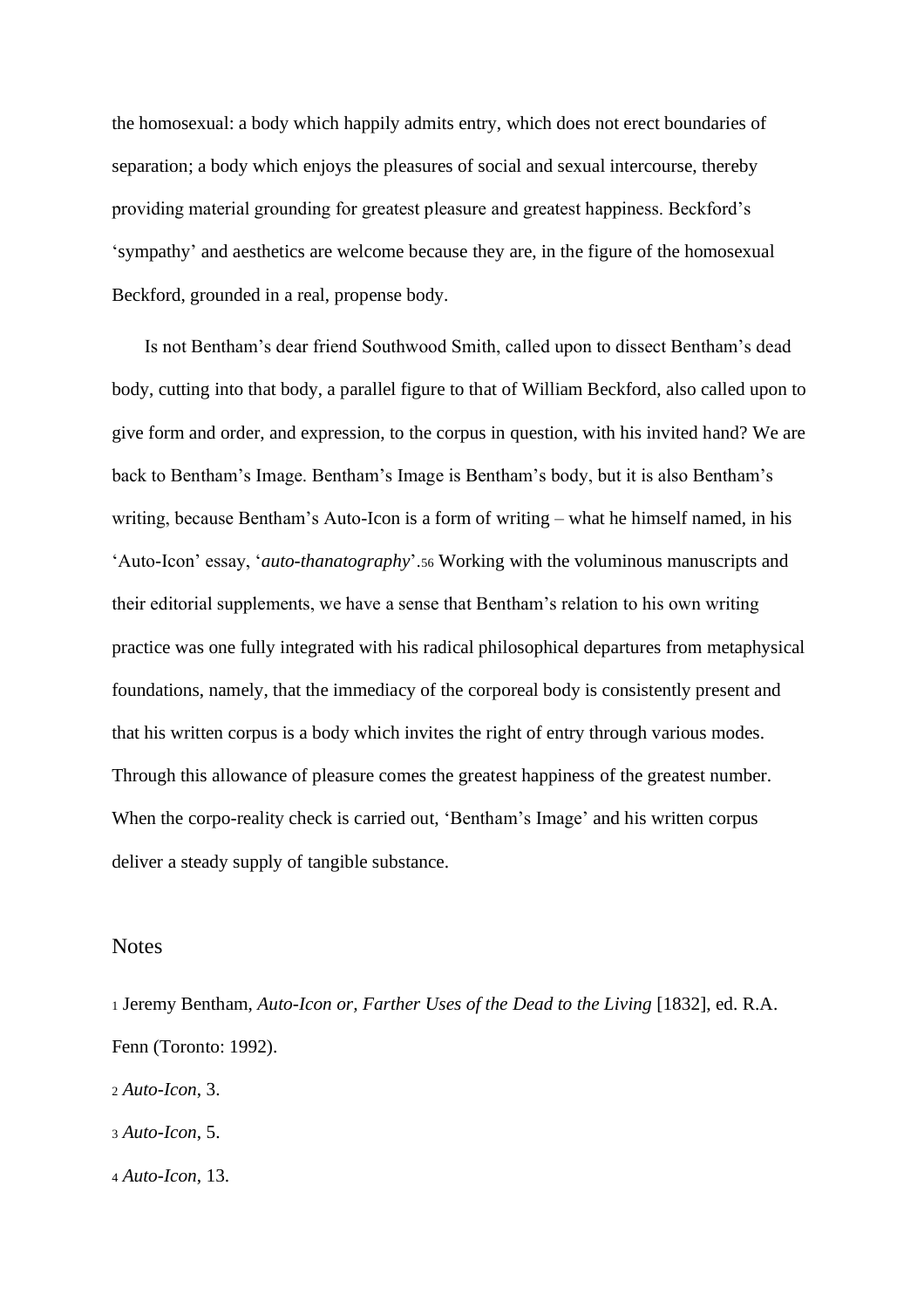the homosexual: a body which happily admits entry, which does not erect boundaries of separation; a body which enjoys the pleasures of social and sexual intercourse, thereby providing material grounding for greatest pleasure and greatest happiness. Beckford's 'sympathy' and aesthetics are welcome because they are, in the figure of the homosexual Beckford, grounded in a real, propense body.

Is not Bentham's dear friend Southwood Smith, called upon to dissect Bentham's dead body, cutting into that body, a parallel figure to that of William Beckford, also called upon to give form and order, and expression, to the corpus in question, with his invited hand? We are back to Bentham's Image. Bentham's Image is Bentham's body, but it is also Bentham's writing, because Bentham's Auto-Icon is a form of writing – what he himself named, in his 'Auto-Icon' essay, '*auto-thanatography*'.<sup>56</sup> Working with the voluminous manuscripts and their editorial supplements, we have a sense that Bentham's relation to his own writing practice was one fully integrated with his radical philosophical departures from metaphysical foundations, namely, that the immediacy of the corporeal body is consistently present and that his written corpus is a body which invites the right of entry through various modes. Through this allowance of pleasure comes the greatest happiness of the greatest number. When the corpo-reality check is carried out, 'Bentham's Image' and his written corpus deliver a steady supply of tangible substance.

## **Notes**

 Jeremy Bentham, *Auto-Icon or, Farther Uses of the Dead to the Living* [1832], ed. R.A. Fenn (Toronto: 1992). *Auto-Icon*, 3. *Auto-Icon*, 5. *Auto-Icon*, 13.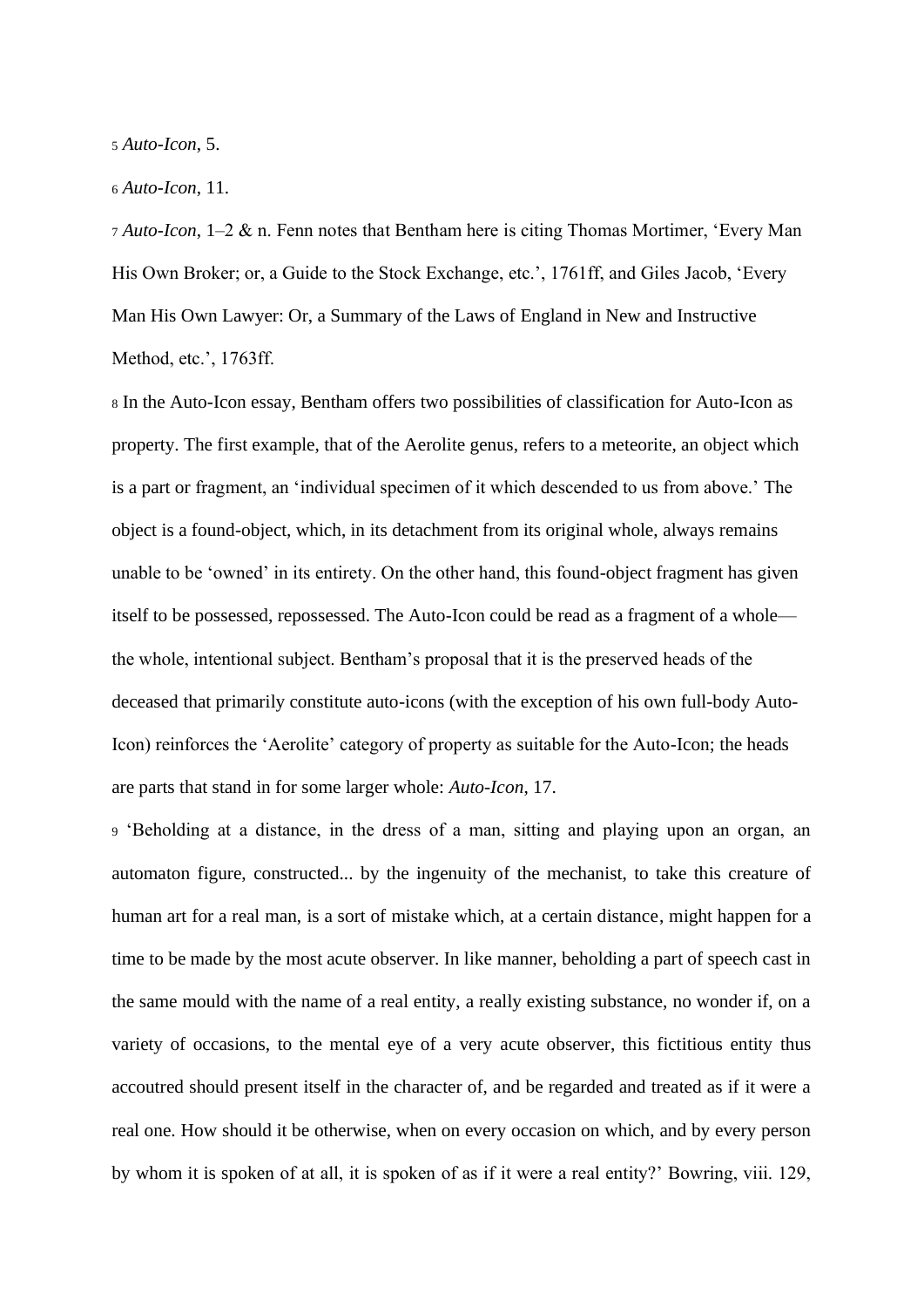<sup>5</sup> *Auto-Icon*, 5.

<sup>6</sup> *Auto-Icon*, 11.

<sup>7</sup> *Auto-Icon*, 1–2 & n. Fenn notes that Bentham here is citing Thomas Mortimer, 'Every Man His Own Broker; or, a Guide to the Stock Exchange, etc.', 1761ff, and Giles Jacob, 'Every Man His Own Lawyer: Or, a Summary of the Laws of England in New and Instructive Method, etc.', 1763ff.

<sup>8</sup> In the Auto-Icon essay, Bentham offers two possibilities of classification for Auto-Icon as property. The first example, that of the Aerolite genus, refers to a meteorite, an object which is a part or fragment, an 'individual specimen of it which descended to us from above.' The object is a found-object, which, in its detachment from its original whole, always remains unable to be 'owned' in its entirety. On the other hand, this found-object fragment has given itself to be possessed, repossessed. The Auto-Icon could be read as a fragment of a whole the whole, intentional subject. Bentham's proposal that it is the preserved heads of the deceased that primarily constitute auto-icons (with the exception of his own full-body Auto-Icon) reinforces the 'Aerolite' category of property as suitable for the Auto-Icon; the heads are parts that stand in for some larger whole: *Auto-Icon*, 17.

<sup>9</sup> 'Beholding at a distance, in the dress of a man, sitting and playing upon an organ, an automaton figure, constructed... by the ingenuity of the mechanist, to take this creature of human art for a real man, is a sort of mistake which, at a certain distance, might happen for a time to be made by the most acute observer. In like manner, beholding a part of speech cast in the same mould with the name of a real entity, a really existing substance, no wonder if, on a variety of occasions, to the mental eye of a very acute observer, this fictitious entity thus accoutred should present itself in the character of, and be regarded and treated as if it were a real one. How should it be otherwise, when on every occasion on which, and by every person by whom it is spoken of at all, it is spoken of as if it were a real entity?' Bowring, viii. 129,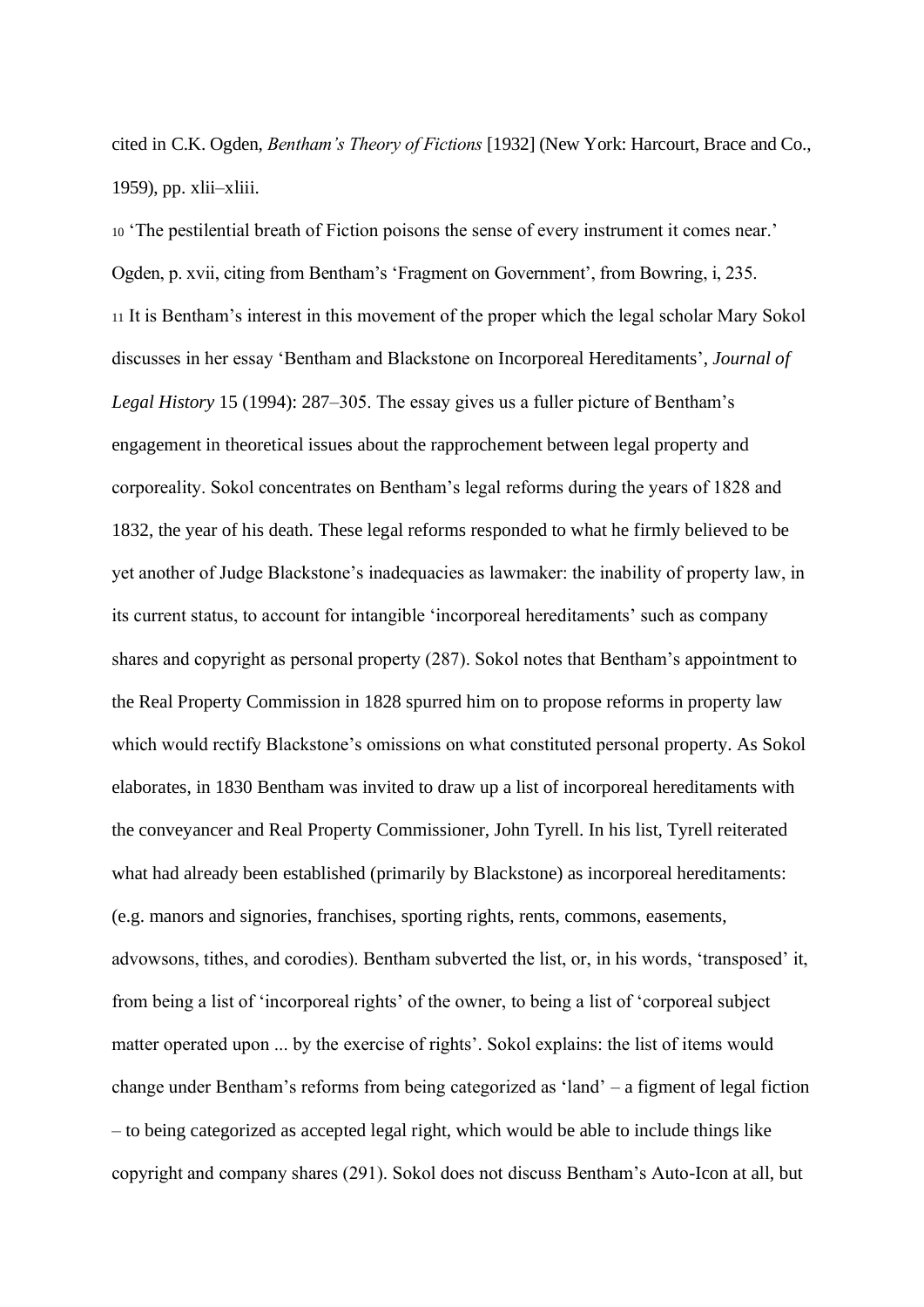cited in C.K. Ogden, *Bentham's Theory of Fictions* [1932] (New York: Harcourt, Brace and Co., 1959), pp. xlii–xliii.

<sup>10</sup> 'The pestilential breath of Fiction poisons the sense of every instrument it comes near.' Ogden, p. xvii, citing from Bentham's 'Fragment on Government', from Bowring, i, 235. <sup>11</sup> It is Bentham's interest in this movement of the proper which the legal scholar Mary Sokol discusses in her essay 'Bentham and Blackstone on Incorporeal Hereditaments', *Journal of Legal History* 15 (1994): 287–305. The essay gives us a fuller picture of Bentham's engagement in theoretical issues about the rapprochement between legal property and corporeality. Sokol concentrates on Bentham's legal reforms during the years of 1828 and 1832, the year of his death. These legal reforms responded to what he firmly believed to be yet another of Judge Blackstone's inadequacies as lawmaker: the inability of property law, in its current status, to account for intangible 'incorporeal hereditaments' such as company shares and copyright as personal property (287). Sokol notes that Bentham's appointment to the Real Property Commission in 1828 spurred him on to propose reforms in property law which would rectify Blackstone's omissions on what constituted personal property. As Sokol elaborates, in 1830 Bentham was invited to draw up a list of incorporeal hereditaments with the conveyancer and Real Property Commissioner, John Tyrell. In his list, Tyrell reiterated what had already been established (primarily by Blackstone) as incorporeal hereditaments: (e.g. manors and signories, franchises, sporting rights, rents, commons, easements, advowsons, tithes, and corodies). Bentham subverted the list, or, in his words, 'transposed' it, from being a list of 'incorporeal rights' of the owner, to being a list of 'corporeal subject matter operated upon ... by the exercise of rights'. Sokol explains: the list of items would change under Bentham's reforms from being categorized as 'land' – a figment of legal fiction – to being categorized as accepted legal right, which would be able to include things like copyright and company shares (291). Sokol does not discuss Bentham's Auto-Icon at all, but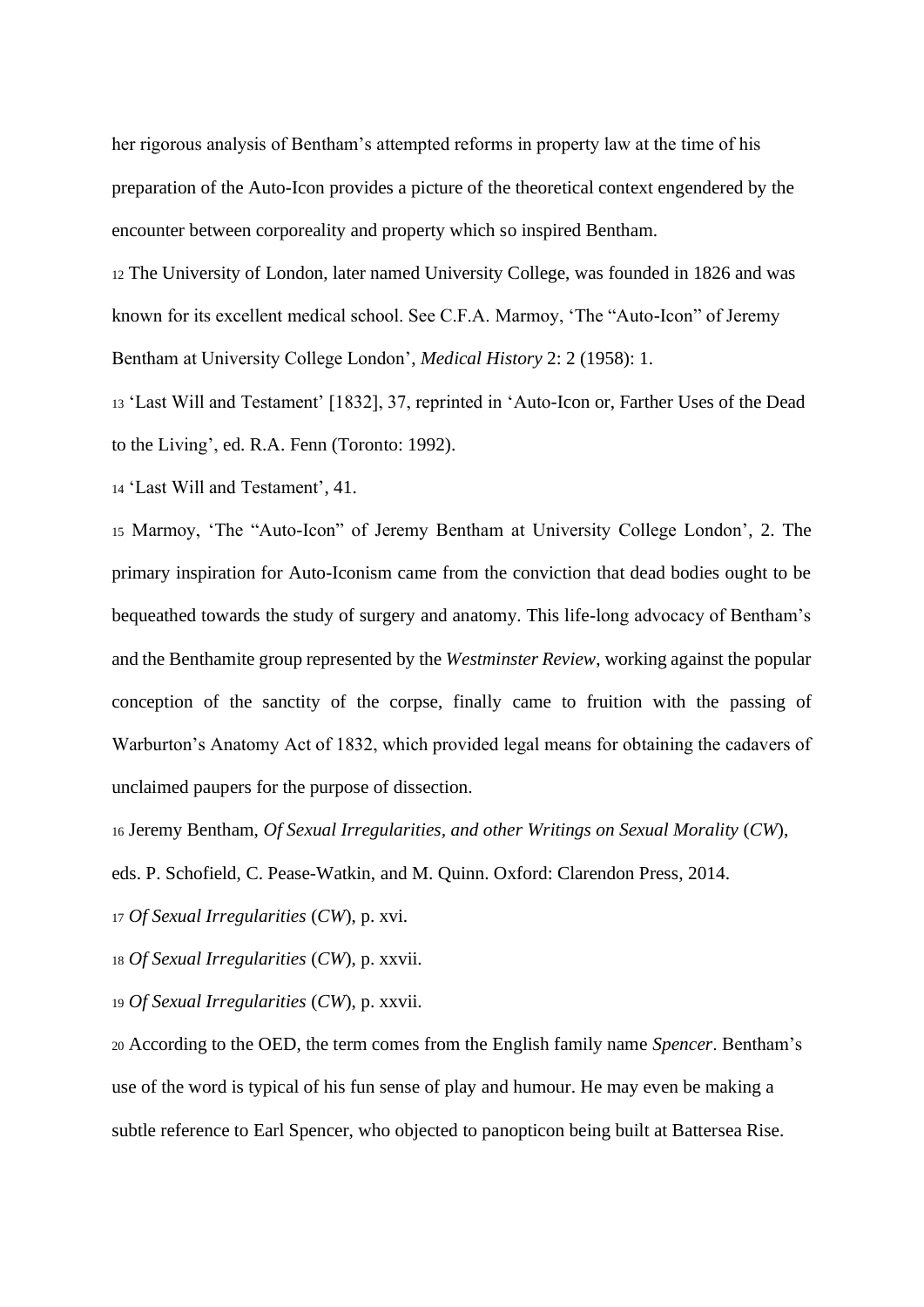her rigorous analysis of Bentham's attempted reforms in property law at the time of his preparation of the Auto-Icon provides a picture of the theoretical context engendered by the encounter between corporeality and property which so inspired Bentham.

<sup>12</sup> The University of London, later named University College, was founded in 1826 and was known for its excellent medical school. See C.F.A. Marmoy, 'The "Auto-Icon" of Jeremy Bentham at University College London', *Medical History* 2: 2 (1958): 1.

<sup>13</sup> 'Last Will and Testament' [1832], 37, reprinted in 'Auto-Icon or, Farther Uses of the Dead to the Living', ed. R.A. Fenn (Toronto: 1992).

<sup>14</sup> 'Last Will and Testament', 41.

<sup>15</sup> Marmoy, 'The "Auto-Icon" of Jeremy Bentham at University College London', 2. The primary inspiration for Auto-Iconism came from the conviction that dead bodies ought to be bequeathed towards the study of surgery and anatomy. This life-long advocacy of Bentham's and the Benthamite group represented by the *Westminster Review*, working against the popular conception of the sanctity of the corpse, finally came to fruition with the passing of Warburton's Anatomy Act of 1832, which provided legal means for obtaining the cadavers of unclaimed paupers for the purpose of dissection.

<sup>16</sup> Jeremy Bentham, *Of Sexual Irregularities, and other Writings on Sexual Morality* (*CW*),

eds. P. Schofield, C. Pease-Watkin, and M. Quinn. Oxford: Clarendon Press, 2014.

<sup>17</sup> *Of Sexual Irregularities* (*CW*), p. xvi.

<sup>18</sup> *Of Sexual Irregularities* (*CW*), p. xxvii.

<sup>19</sup> *Of Sexual Irregularities* (*CW*), p. xxvii.

<sup>20</sup> According to the OED, the term comes from the English family name *Spencer*. Bentham's use of the word is typical of his fun sense of play and humour. He may even be making a subtle reference to Earl Spencer, who objected to panopticon being built at Battersea Rise.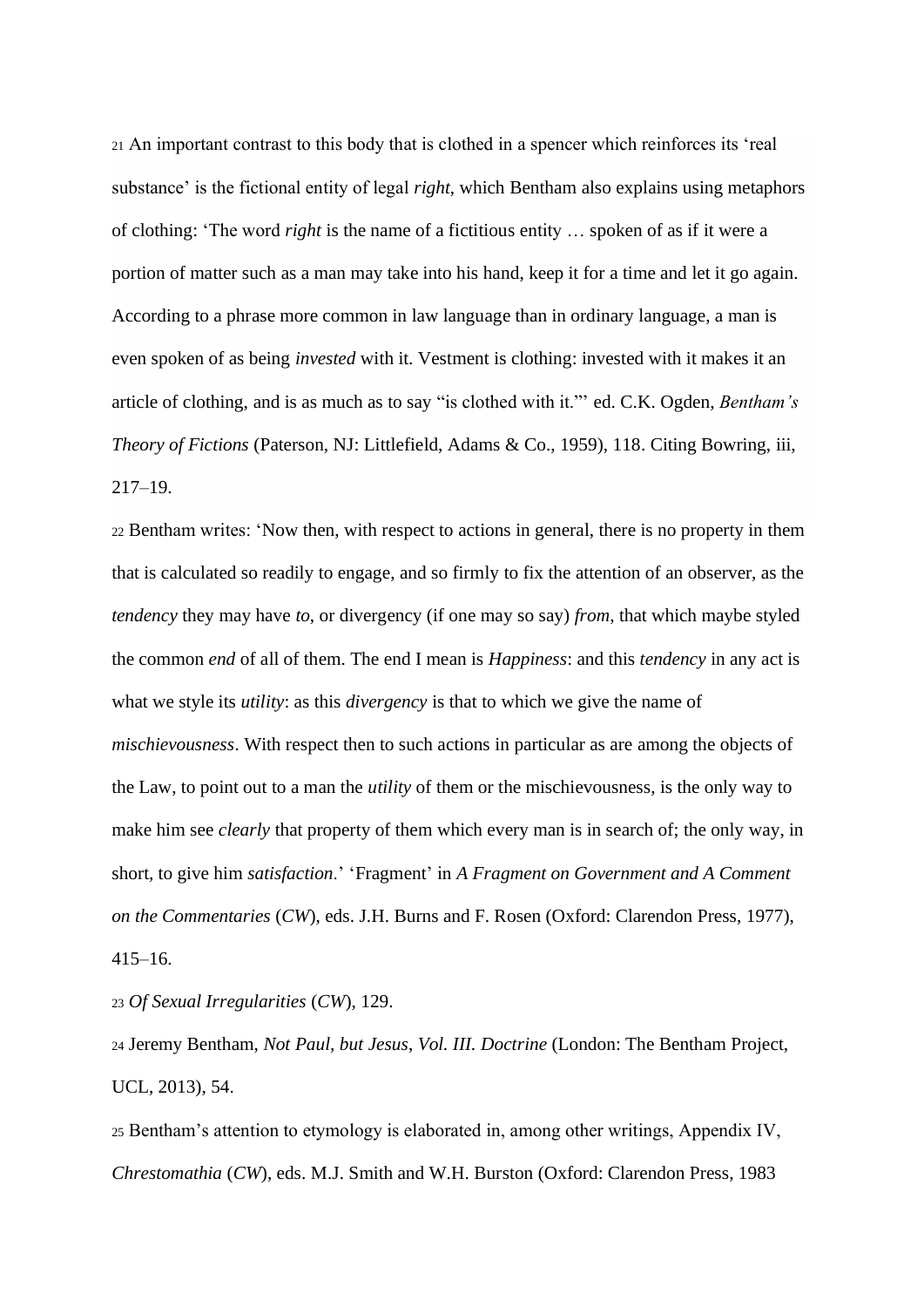<sup>21</sup> An important contrast to this body that is clothed in a spencer which reinforces its 'real substance' is the fictional entity of legal *right*, which Bentham also explains using metaphors of clothing: 'The word *right* is the name of a fictitious entity … spoken of as if it were a portion of matter such as a man may take into his hand, keep it for a time and let it go again. According to a phrase more common in law language than in ordinary language, a man is even spoken of as being *invested* with it. Vestment is clothing: invested with it makes it an article of clothing, and is as much as to say "is clothed with it."' ed. C.K. Ogden, *Bentham's Theory of Fictions* (Paterson, NJ: Littlefield, Adams & Co., 1959), 118. Citing Bowring, iii, 217–19.

<sup>22</sup> Bentham writes: 'Now then, with respect to actions in general, there is no property in them that is calculated so readily to engage, and so firmly to fix the attention of an observer, as the *tendency* they may have *to*, or divergency (if one may so say) *from*, that which maybe styled the common *end* of all of them. The end I mean is *Happiness*: and this *tendency* in any act is what we style its *utility*: as this *divergency* is that to which we give the name of *mischievousness*. With respect then to such actions in particular as are among the objects of the Law, to point out to a man the *utility* of them or the mischievousness, is the only way to make him see *clearly* that property of them which every man is in search of; the only way, in short, to give him *satisfaction*.' 'Fragment' in *A Fragment on Government and A Comment on the Commentaries* (*CW*), eds. J.H. Burns and F. Rosen (Oxford: Clarendon Press, 1977), 415–16.

<sup>23</sup> *Of Sexual Irregularities* (*CW*), 129.

<sup>24</sup> Jeremy Bentham, *Not Paul, but Jesus*, *Vol. III. Doctrine* (London: The Bentham Project, UCL, 2013), 54.

<sup>25</sup> Bentham's attention to etymology is elaborated in, among other writings, Appendix IV, *Chrestomathia* (*CW*), eds. M.J. Smith and W.H. Burston (Oxford: Clarendon Press, 1983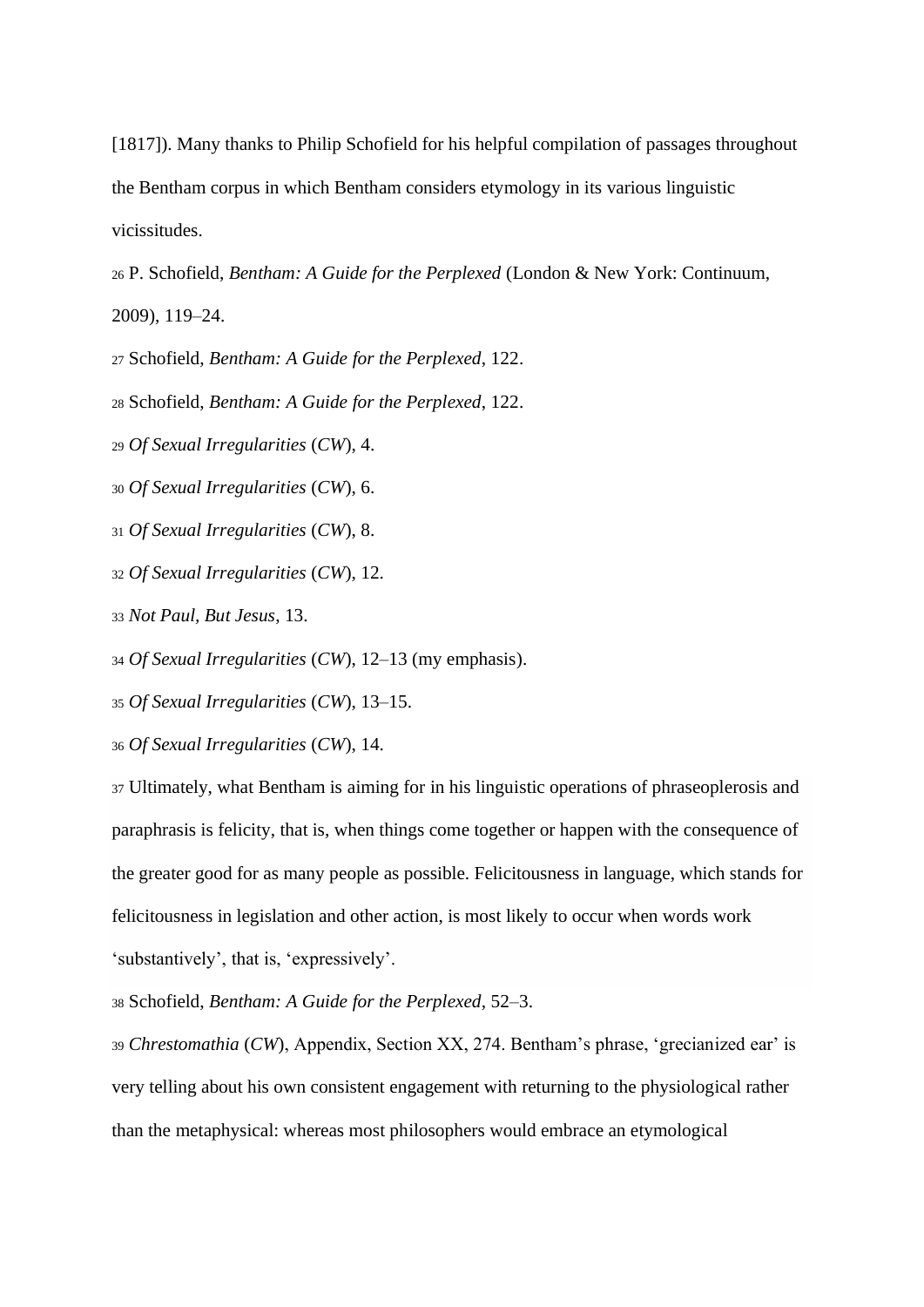[1817]). Many thanks to Philip Schofield for his helpful compilation of passages throughout the Bentham corpus in which Bentham considers etymology in its various linguistic vicissitudes.

<sup>26</sup> P. Schofield, *Bentham: A Guide for the Perplexed* (London & New York: Continuum,

2009), 119–24.

<sup>27</sup> Schofield, *Bentham: A Guide for the Perplexed*, 122.

<sup>28</sup> Schofield, *Bentham: A Guide for the Perplexed*, 122.

<sup>29</sup> *Of Sexual Irregularities* (*CW*), 4.

<sup>30</sup> *Of Sexual Irregularities* (*CW*), 6.

<sup>31</sup> *Of Sexual Irregularities* (*CW*), 8.

<sup>32</sup> *Of Sexual Irregularities* (*CW*), 12.

<sup>33</sup> *Not Paul, But Jesus*, 13.

<sup>34</sup> *Of Sexual Irregularities* (*CW*), 12–13 (my emphasis).

<sup>35</sup> *Of Sexual Irregularities* (*CW*), 13–15.

<sup>36</sup> *Of Sexual Irregularities* (*CW*), 14.

<sup>37</sup> Ultimately, what Bentham is aiming for in his linguistic operations of phraseoplerosis and paraphrasis is felicity, that is, when things come together or happen with the consequence of the greater good for as many people as possible. Felicitousness in language, which stands for felicitousness in legislation and other action, is most likely to occur when words work 'substantively', that is, 'expressively'.

<sup>38</sup> Schofield, *Bentham: A Guide for the Perplexed*, 52–3.

<sup>39</sup> *Chrestomathia* (*CW*), Appendix, Section XX, 274. Bentham's phrase, 'grecianized ear' is very telling about his own consistent engagement with returning to the physiological rather than the metaphysical: whereas most philosophers would embrace an etymological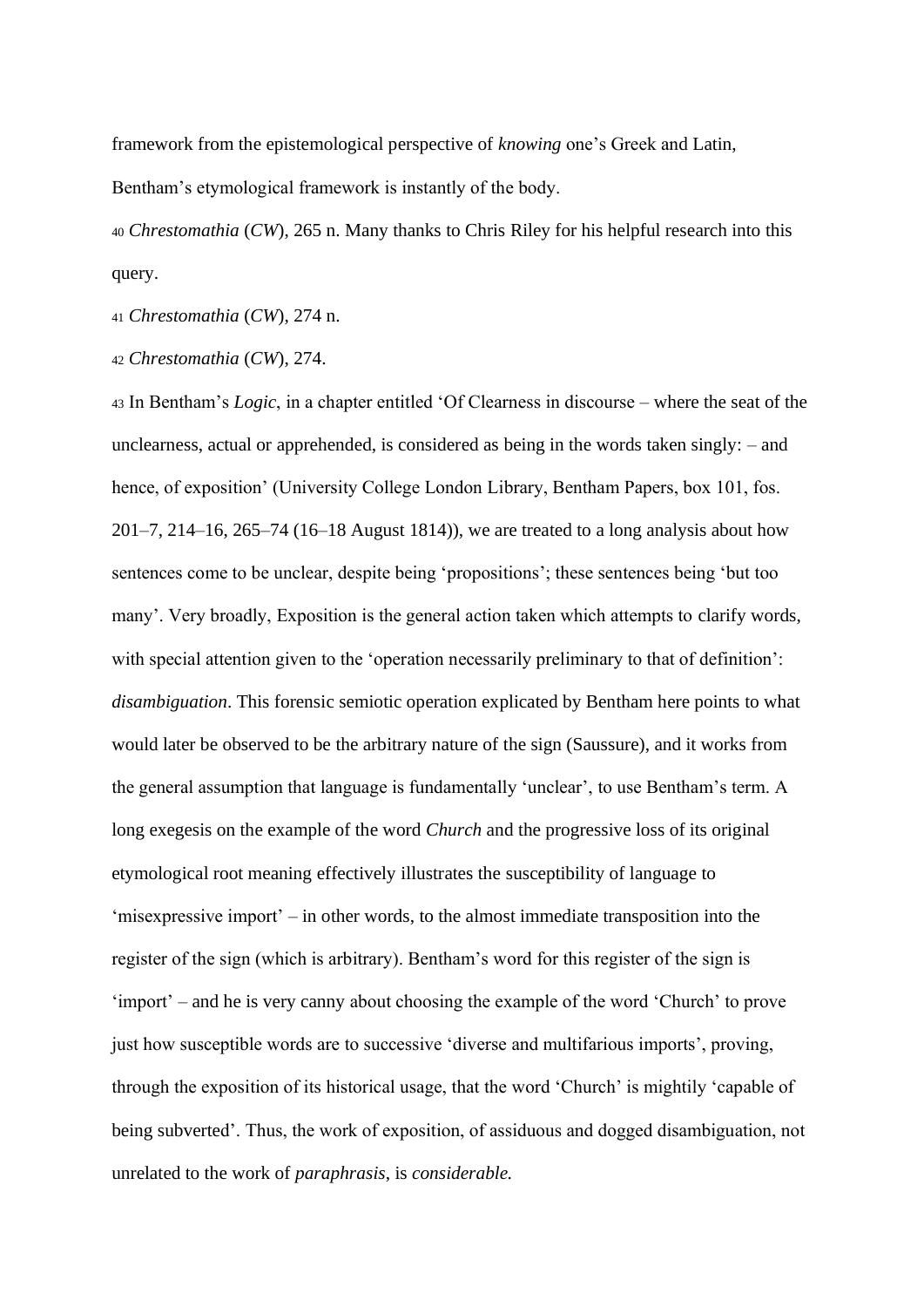framework from the epistemological perspective of *knowing* one's Greek and Latin, Bentham's etymological framework is instantly of the body.

<sup>40</sup> *Chrestomathia* (*CW*), 265 n. Many thanks to Chris Riley for his helpful research into this query.

<sup>41</sup> *Chrestomathia* (*CW*), 274 n.

<sup>42</sup> *Chrestomathia* (*CW*), 274.

<sup>43</sup> In Bentham's *Logic*, in a chapter entitled 'Of Clearness in discourse – where the seat of the unclearness, actual or apprehended, is considered as being in the words taken singly: – and hence, of exposition' (University College London Library, Bentham Papers, box 101, fos. 201–7, 214–16, 265–74 (16–18 August 1814)), we are treated to a long analysis about how sentences come to be unclear, despite being 'propositions'; these sentences being 'but too many'. Very broadly, Exposition is the general action taken which attempts to clarify words, with special attention given to the 'operation necessarily preliminary to that of definition': *disambiguation*. This forensic semiotic operation explicated by Bentham here points to what would later be observed to be the arbitrary nature of the sign (Saussure), and it works from the general assumption that language is fundamentally 'unclear', to use Bentham's term. A long exegesis on the example of the word *Church* and the progressive loss of its original etymological root meaning effectively illustrates the susceptibility of language to 'misexpressive import' – in other words, to the almost immediate transposition into the register of the sign (which is arbitrary). Bentham's word for this register of the sign is 'import' – and he is very canny about choosing the example of the word 'Church' to prove just how susceptible words are to successive 'diverse and multifarious imports', proving, through the exposition of its historical usage, that the word 'Church' is mightily 'capable of being subverted'. Thus, the work of exposition, of assiduous and dogged disambiguation, not unrelated to the work of *paraphrasis*, is *considerable.*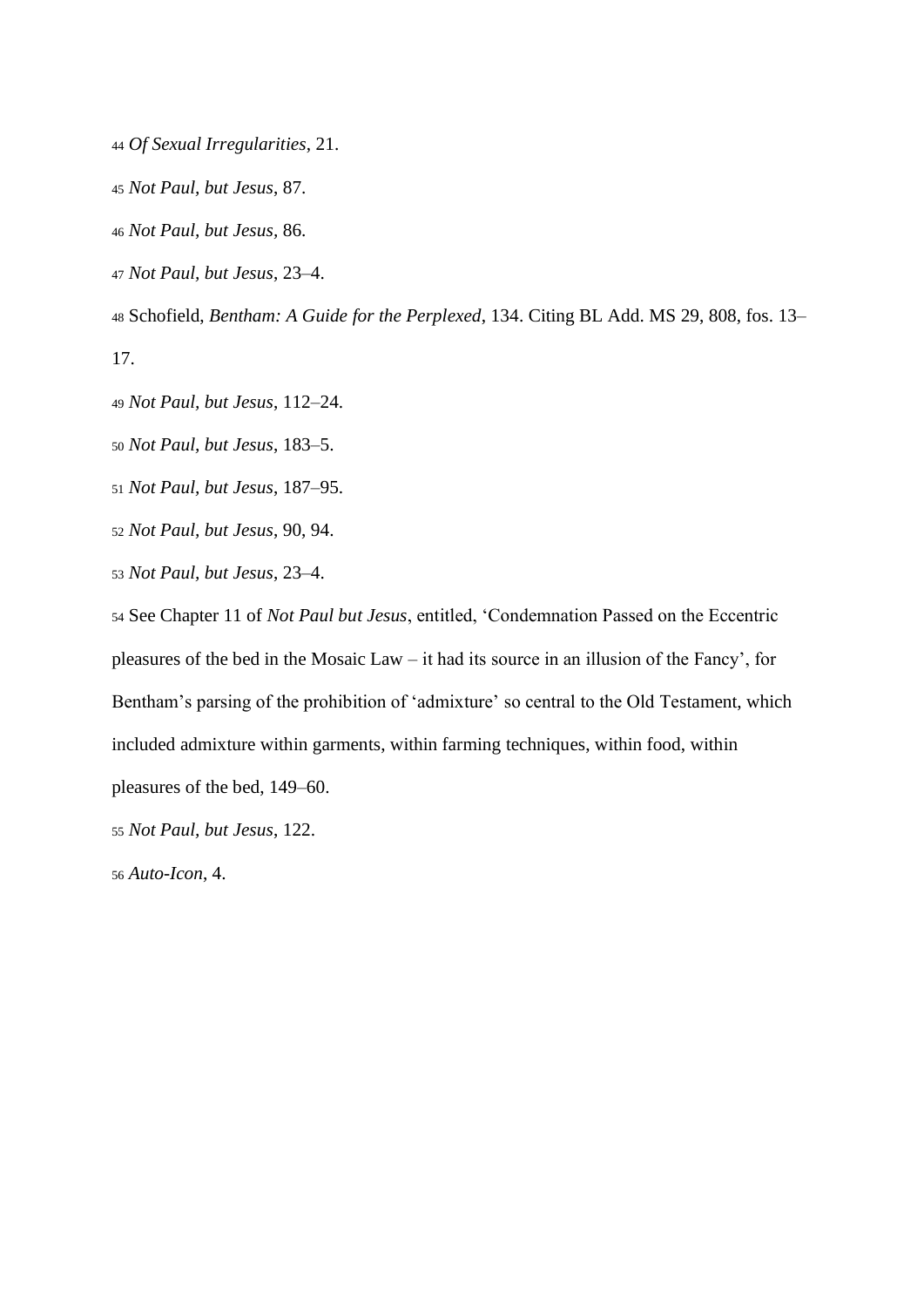*Of Sexual Irregularities*, 21.

*Not Paul, but Jesus*, 87.

*Not Paul, but Jesus,* 86.

*Not Paul, but Jesus*, 23–4.

 Schofield, *Bentham: A Guide for the Perplexed*, 134. Citing BL Add. MS 29, 808, fos. 13– 17.

*Not Paul, but Jesus*, 112–24.

*Not Paul, but Jesus*, 183–5.

*Not Paul, but Jesus*, 187–95.

*Not Paul, but Jesus*, 90, 94.

*Not Paul, but Jesus*, 23–4.

 See Chapter 11 of *Not Paul but Jesus*, entitled, 'Condemnation Passed on the Eccentric pleasures of the bed in the Mosaic Law – it had its source in an illusion of the Fancy', for Bentham's parsing of the prohibition of 'admixture' so central to the Old Testament, which included admixture within garments, within farming techniques, within food, within pleasures of the bed, 149–60.

*Not Paul, but Jesus*, 122.

*Auto-Icon*, 4.